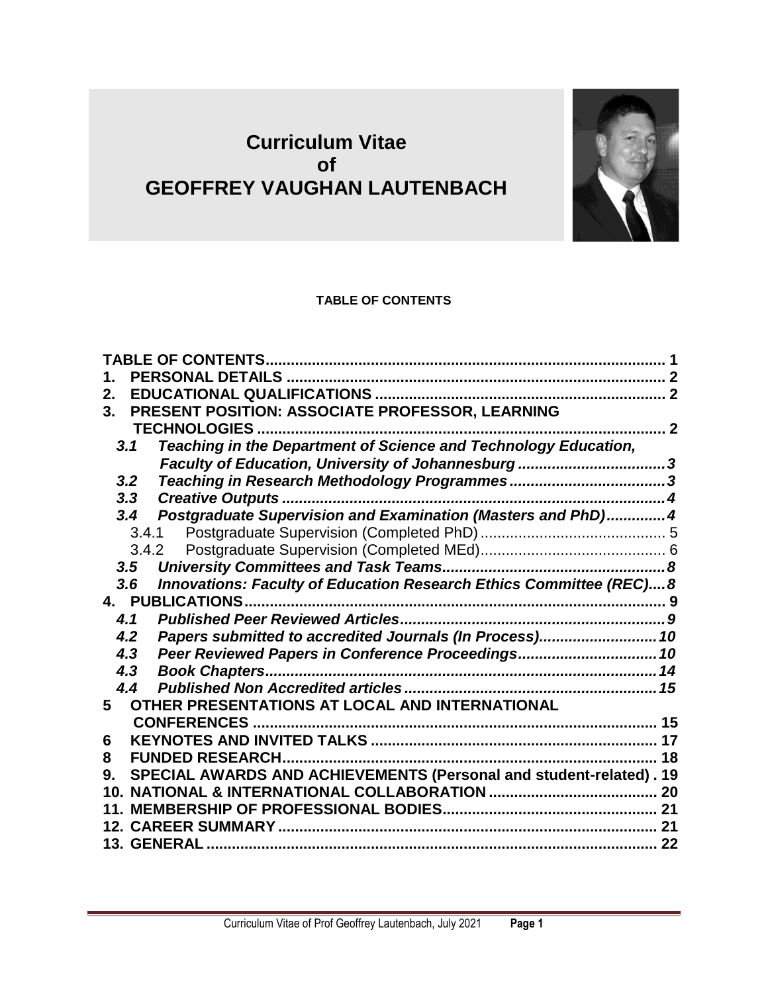# **Curriculum Vitae of GEOFFREY VAUGHAN LAUTENBACH**



### **TABLE OF CONTENTS**

<span id="page-0-0"></span>

| 1.  |       |                                                                     |                          |
|-----|-------|---------------------------------------------------------------------|--------------------------|
| 2.  |       |                                                                     |                          |
| 3.  |       | PRESENT POSITION: ASSOCIATE PROFESSOR, LEARNING                     |                          |
|     |       | <b>TECHNOLOGIES</b>                                                 | $\overline{\phantom{a}}$ |
| 3.1 |       | Teaching in the Department of Science and Technology Education,     |                          |
|     |       | Faculty of Education, University of Johannesburg 3                  |                          |
| 3.2 |       |                                                                     |                          |
| 3.3 |       |                                                                     |                          |
| 3.4 |       | Postgraduate Supervision and Examination (Masters and PhD)4         |                          |
|     | 3.4.1 |                                                                     |                          |
|     | 3.4.2 |                                                                     |                          |
| 3.5 |       |                                                                     |                          |
| 3.6 |       | Innovations: Faculty of Education Research Ethics Committee (REC) 8 |                          |
|     |       | 4. PUBLICATIONS                                                     |                          |
| 4.1 |       |                                                                     |                          |
| 4.2 |       | Papers submitted to accredited Journals (In Process) 10             |                          |
| 4.3 |       | Peer Reviewed Papers in Conference Proceedings 10                   |                          |
| 4.3 |       |                                                                     |                          |
| 4.4 |       |                                                                     |                          |
| 5   |       | OTHER PRESENTATIONS AT LOCAL AND INTERNATIONAL                      |                          |
|     |       | <b>CONFERENCES</b>                                                  |                          |
| 6   |       |                                                                     |                          |
| 8   |       | <b>FUNDED RESEARCH</b>                                              | 18                       |
| 9.  |       | SPECIAL AWARDS AND ACHIEVEMENTS (Personal and student-related). 19  |                          |
| 10. |       |                                                                     |                          |
|     |       |                                                                     |                          |
|     |       |                                                                     | 21                       |
|     |       | 13. GENERAL …………………………………………………………………………………………… 22                  |                          |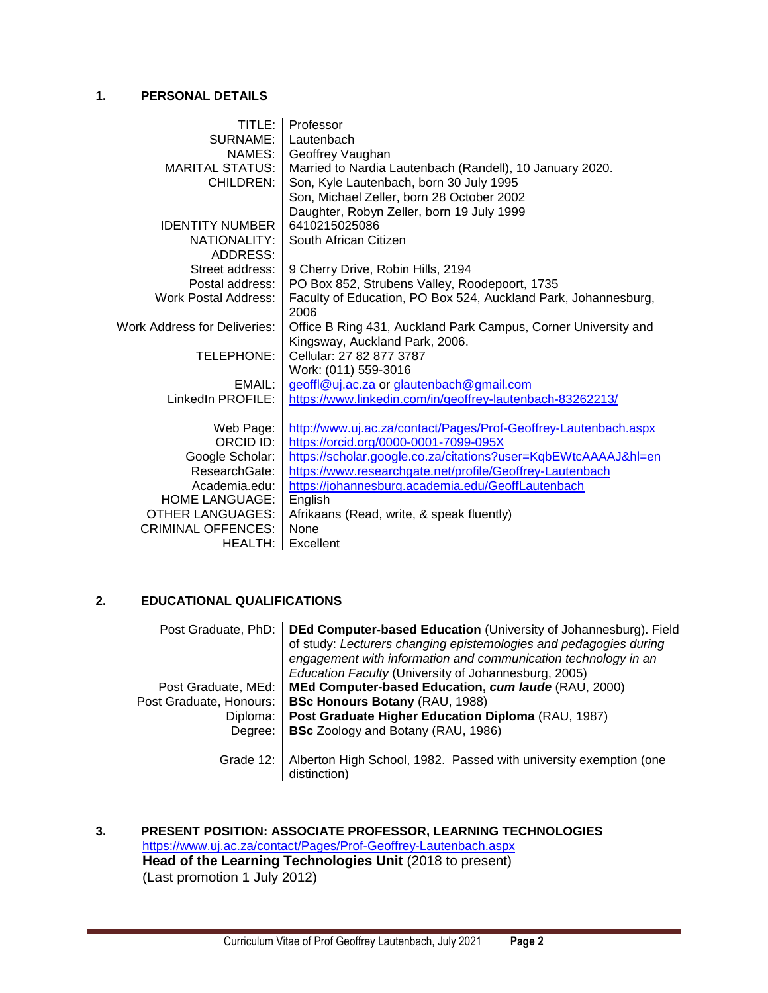### <span id="page-1-0"></span>**1. PERSONAL DETAILS**

| TITLE:                       | Professor                                                       |
|------------------------------|-----------------------------------------------------------------|
| SURNAME:                     | Lautenbach                                                      |
| NAMES: I                     | Geoffrey Vaughan                                                |
| <b>MARITAL STATUS:</b>       | Married to Nardia Lautenbach (Randell), 10 January 2020.        |
| <b>CHILDREN:</b>             | Son, Kyle Lautenbach, born 30 July 1995                         |
|                              | Son, Michael Zeller, born 28 October 2002                       |
|                              | Daughter, Robyn Zeller, born 19 July 1999                       |
| <b>IDENTITY NUMBER</b>       | 6410215025086                                                   |
| NATIONALITY:                 | South African Citizen                                           |
| ADDRESS:                     |                                                                 |
| Street address:              | 9 Cherry Drive, Robin Hills, 2194                               |
| Postal address:              | PO Box 852, Strubens Valley, Roodepoort, 1735                   |
| <b>Work Postal Address:</b>  | Faculty of Education, PO Box 524, Auckland Park, Johannesburg,  |
|                              | 2006                                                            |
| Work Address for Deliveries: | Office B Ring 431, Auckland Park Campus, Corner University and  |
|                              | Kingsway, Auckland Park, 2006.                                  |
| TELEPHONE:                   | Cellular: 27 82 877 3787                                        |
|                              | Work: (011) 559-3016                                            |
| EMAIL: I                     | geoffl@uj.ac.za or glautenbach@gmail.com                        |
| LinkedIn PROFILE:            | https://www.linkedin.com/in/geoffrey-lautenbach-83262213/       |
|                              |                                                                 |
| Web Page:                    | http://www.uj.ac.za/contact/Pages/Prof-Geoffrey-Lautenbach.aspx |
| ORCID ID:                    | https://orcid.org/0000-0001-7099-095X                           |
| Google Scholar:              | https://scholar.google.co.za/citations?user=KgbEWtcAAAAJ&hl=en  |
| ResearchGate:                | https://www.researchgate.net/profile/Geoffrey-Lautenbach        |
| Academia.edu:                | https://johannesburg.academia.edu/GeoffLautenbach               |
| <b>HOME LANGUAGE:</b>        | English                                                         |
| <b>OTHER LANGUAGES:</b>      | Afrikaans (Read, write, & speak fluently)                       |
| <b>CRIMINAL OFFENCES:</b>    | None                                                            |
| HEALTH: I                    | Excellent                                                       |

### <span id="page-1-1"></span>**2. EDUCATIONAL QUALIFICATIONS**

| Post Graduate, PhD:     | DEd Computer-based Education (University of Johannesburg). Field<br>of study: Lecturers changing epistemologies and pedagogies during<br>engagement with information and communication technology in an<br>Education Faculty (University of Johannesburg, 2005) |
|-------------------------|-----------------------------------------------------------------------------------------------------------------------------------------------------------------------------------------------------------------------------------------------------------------|
| Post Graduate, MEd:     | MEd Computer-based Education, cum laude (RAU, 2000)                                                                                                                                                                                                             |
| Post Graduate, Honours: | <b>BSc Honours Botany (RAU, 1988)</b>                                                                                                                                                                                                                           |
| Diploma:                | Post Graduate Higher Education Diploma (RAU, 1987)                                                                                                                                                                                                              |
| Degree:                 | <b>BSc</b> Zoology and Botany (RAU, 1986)                                                                                                                                                                                                                       |
|                         | Grade 12:   Alberton High School, 1982. Passed with university exemption (one<br>distinction)                                                                                                                                                                   |

<span id="page-1-2"></span>**3. PRESENT POSITION: ASSOCIATE PROFESSOR, LEARNING TECHNOLOGIES** <https://www.uj.ac.za/contact/Pages/Prof-Geoffrey-Lautenbach.aspx> **Head of the Learning Technologies Unit** (2018 to present) (Last promotion 1 July 2012)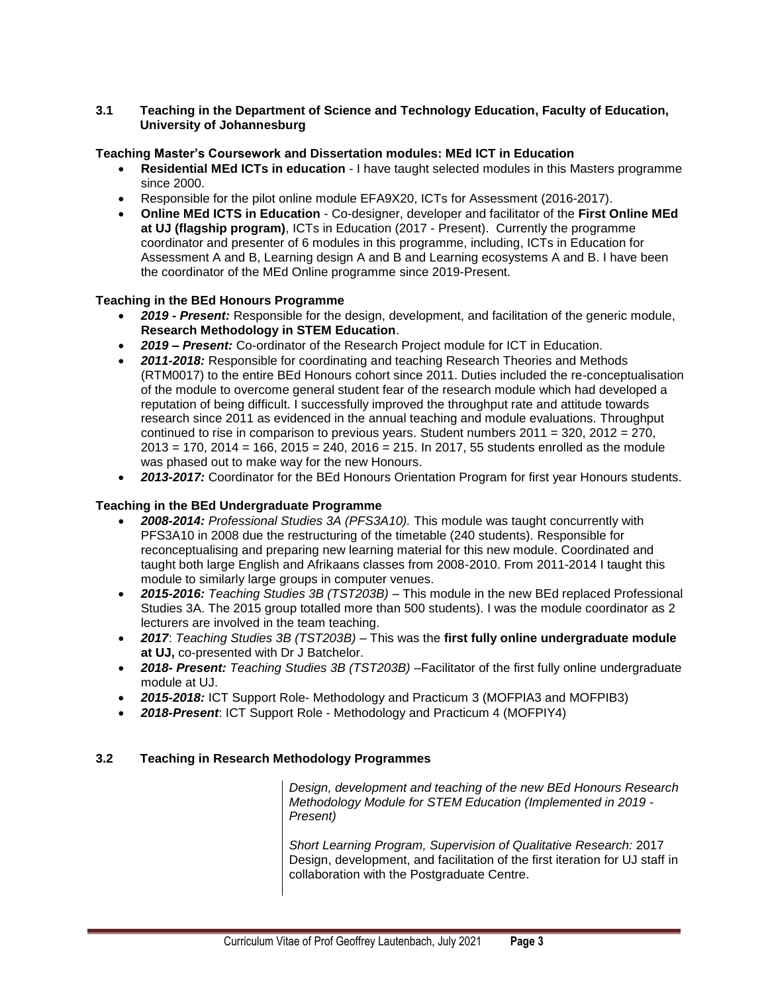### <span id="page-2-0"></span>**3.1 Teaching in the Department of Science and Technology Education, Faculty of Education, University of Johannesburg**

### **Teaching Master's Coursework and Dissertation modules: MEd ICT in Education**

- **Residential MEd ICTs in education** I have taught selected modules in this Masters programme since 2000.
- Responsible for the pilot online module EFA9X20, ICTs for Assessment (2016-2017).
- **Online MEd ICTS in Education** Co-designer, developer and facilitator of the **First Online MEd at UJ (flagship program)**, ICTs in Education (2017 - Present). Currently the programme coordinator and presenter of 6 modules in this programme, including, ICTs in Education for Assessment A and B, Learning design A and B and Learning ecosystems A and B. I have been the coordinator of the MEd Online programme since 2019-Present.

### **Teaching in the BEd Honours Programme**

- *2019 - Present:* Responsible for the design, development, and facilitation of the generic module, **Research Methodology in STEM Education**.
- *2019 – Present:* Co-ordinator of the Research Project module for ICT in Education.
- *2011-2018:* Responsible for coordinating and teaching Research Theories and Methods (RTM0017) to the entire BEd Honours cohort since 2011. Duties included the re-conceptualisation of the module to overcome general student fear of the research module which had developed a reputation of being difficult. I successfully improved the throughput rate and attitude towards research since 2011 as evidenced in the annual teaching and module evaluations. Throughput continued to rise in comparison to previous years. Student numbers 2011 = 320, 2012 = 270,  $2013 = 170$ ,  $2014 = 166$ ,  $2015 = 240$ ,  $2016 = 215$ . In 2017, 55 students enrolled as the module was phased out to make way for the new Honours.
- *2013-2017:* Coordinator for the BEd Honours Orientation Program for first year Honours students.

### **Teaching in the BEd Undergraduate Programme**

- *2008-2014: Professional Studies 3A (PFS3A10).* This module was taught concurrently with PFS3A10 in 2008 due the restructuring of the timetable (240 students). Responsible for reconceptualising and preparing new learning material for this new module. Coordinated and taught both large English and Afrikaans classes from 2008-2010. From 2011-2014 I taught this module to similarly large groups in computer venues.
- *2015-2016: Teaching Studies 3B (TST203B)*  This module in the new BEd replaced Professional Studies 3A. The 2015 group totalled more than 500 students). I was the module coordinator as 2 lecturers are involved in the team teaching.
- *2017*: *Teaching Studies 3B (TST203B) –* This was the **first fully online undergraduate module at UJ,** co-presented with Dr J Batchelor.
- *2018- Present: Teaching Studies 3B (TST203B) –*Facilitator of the first fully online undergraduate module at UJ.
- *2015-2018:* ICT Support Role- Methodology and Practicum 3 (MOFPIA3 and MOFPIB3)
- *2018-Present*: ICT Support Role Methodology and Practicum 4 (MOFPIY4)

### <span id="page-2-1"></span>**3.2 Teaching in Research Methodology Programmes**

*Design, development and teaching of the new BEd Honours Research Methodology Module for STEM Education (Implemented in 2019 - Present)*

*Short Learning Program, Supervision of Qualitative Research:* 2017 Design, development, and facilitation of the first iteration for UJ staff in collaboration with the Postgraduate Centre.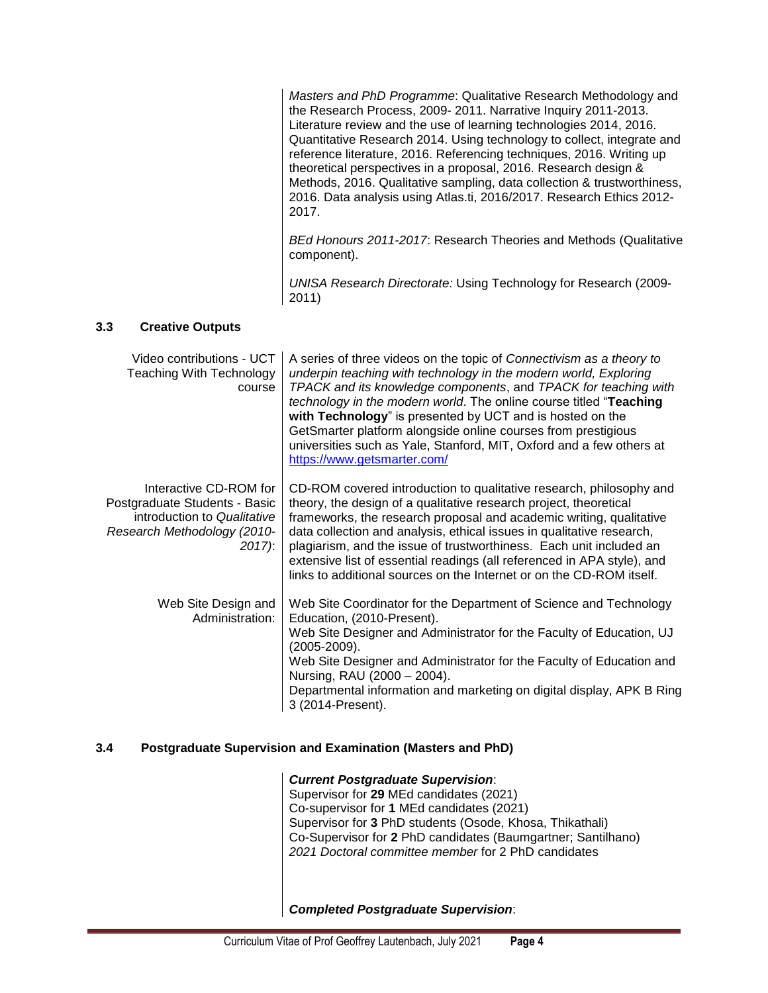*Masters and PhD Programme*: Qualitative Research Methodology and the Research Process, 2009- 2011. Narrative Inquiry 2011-2013. Literature review and the use of learning technologies 2014, 2016. Quantitative Research 2014. Using technology to collect, integrate and reference literature, 2016. Referencing techniques, 2016. Writing up theoretical perspectives in a proposal, 2016. Research design & Methods, 2016. Qualitative sampling, data collection & trustworthiness, 2016. Data analysis using Atlas.ti, 2016/2017. Research Ethics 2012- 2017.

*BEd Honours 2011-2017*: Research Theories and Methods (Qualitative component).

*UNISA Research Directorate:* Using Technology for Research (2009- 2011)

### <span id="page-3-0"></span>**3.3 Creative Outputs**

| Video contributions - UCT<br><b>Teaching With Technology</b><br>course                                                            | A series of three videos on the topic of Connectivism as a theory to<br>underpin teaching with technology in the modern world, Exploring<br>TPACK and its knowledge components, and TPACK for teaching with<br>technology in the modern world. The online course titled "Teaching<br>with Technology" is presented by UCT and is hosted on the<br>GetSmarter platform alongside online courses from prestigious<br>universities such as Yale, Stanford, MIT, Oxford and a few others at<br>https://www.getsmarter.com/ |
|-----------------------------------------------------------------------------------------------------------------------------------|------------------------------------------------------------------------------------------------------------------------------------------------------------------------------------------------------------------------------------------------------------------------------------------------------------------------------------------------------------------------------------------------------------------------------------------------------------------------------------------------------------------------|
| Interactive CD-ROM for<br>Postgraduate Students - Basic<br>introduction to Qualitative<br>Research Methodology (2010-<br>$2017$ : | CD-ROM covered introduction to qualitative research, philosophy and<br>theory, the design of a qualitative research project, theoretical<br>frameworks, the research proposal and academic writing, qualitative<br>data collection and analysis, ethical issues in qualitative research,<br>plagiarism, and the issue of trustworthiness. Each unit included an<br>extensive list of essential readings (all referenced in APA style), and<br>links to additional sources on the Internet or on the CD-ROM itself.     |
| Web Site Design and<br>Administration:                                                                                            | Web Site Coordinator for the Department of Science and Technology<br>Education, (2010-Present).<br>Web Site Designer and Administrator for the Faculty of Education, UJ<br>$(2005 - 2009)$ .<br>Web Site Designer and Administrator for the Faculty of Education and<br>Nursing, RAU (2000 - 2004).<br>Departmental information and marketing on digital display, APK B Ring<br>3 (2014-Present).                                                                                                                      |

#### <span id="page-3-1"></span>**3.4 Postgraduate Supervision and Examination (Masters and PhD)**

*Current Postgraduate Supervision*: Supervisor for **29** MEd candidates (2021) Co-supervisor for **1** MEd candidates (2021) Supervisor for **3** PhD students (Osode, Khosa, Thikathali) Co-Supervisor for **2** PhD candidates (Baumgartner; Santilhano) *2021 Doctoral committee member* for 2 PhD candidates

*Completed Postgraduate Supervision*: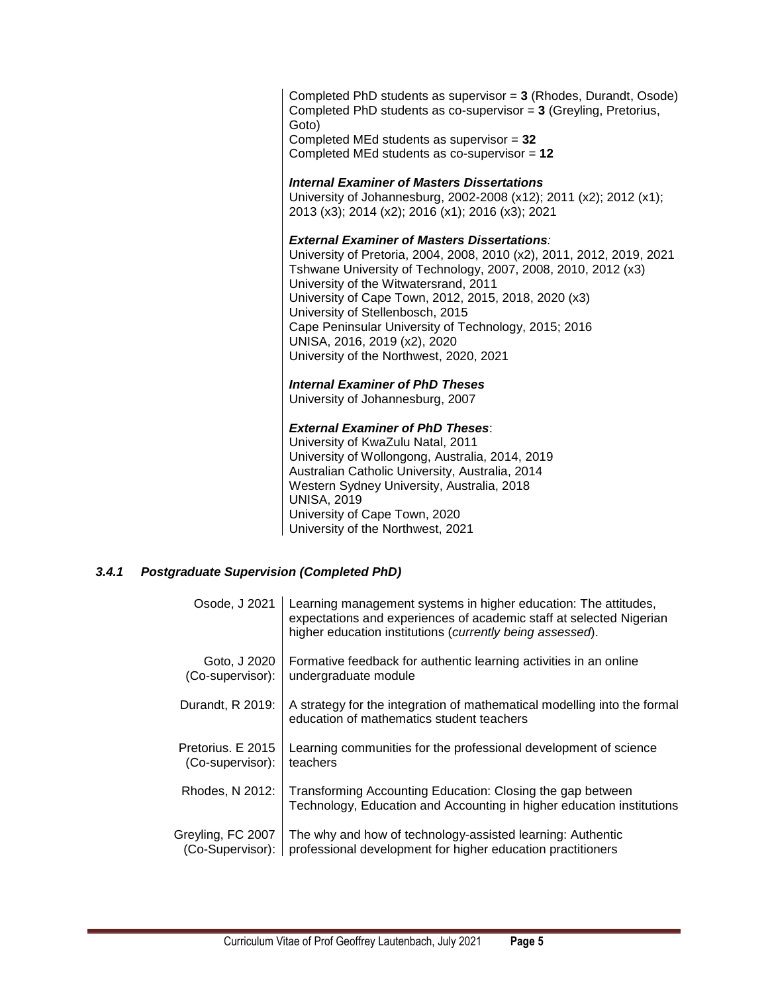Completed PhD students as supervisor = **3** (Rhodes, Durandt, Osode) Completed PhD students as co-supervisor = **3** (Greyling, Pretorius, Goto) Completed MEd students as supervisor = **32** Completed MEd students as co-supervisor = **12**

#### *Internal Examiner of Masters Dissertations*

University of Johannesburg, 2002-2008 (x12); 2011 (x2); 2012 (x1); 2013 (x3); 2014 (x2); 2016 (x1); 2016 (x3); 2021

#### *External Examiner of Masters Dissertations:*

University of Pretoria, 2004, 2008, 2010 (x2), 2011, 2012, 2019, 2021 Tshwane University of Technology, 2007, 2008, 2010, 2012 (x3) University of the Witwatersrand, 2011 University of Cape Town, 2012, 2015, 2018, 2020 (x3) University of Stellenbosch, 2015 Cape Peninsular University of Technology, 2015; 2016 UNISA, 2016, 2019 (x2), 2020 University of the Northwest, 2020, 2021

#### *Internal Examiner of PhD Theses*

University of Johannesburg, 2007

#### *External Examiner of PhD Theses*:

University of KwaZulu Natal, 2011 University of Wollongong, Australia, 2014, 2019 Australian Catholic University, Australia, 2014 Western Sydney University, Australia, 2018 UNISA, 2019 University of Cape Town, 2020 University of the Northwest, 2021

### <span id="page-4-0"></span>*3.4.1 Postgraduate Supervision (Completed PhD)*

| Osode, J 2021     | Learning management systems in higher education: The attitudes,<br>expectations and experiences of academic staff at selected Nigerian<br>higher education institutions (currently being assessed). |
|-------------------|-----------------------------------------------------------------------------------------------------------------------------------------------------------------------------------------------------|
| Goto, J 2020      | Formative feedback for authentic learning activities in an online                                                                                                                                   |
| (Co-supervisor):  | undergraduate module                                                                                                                                                                                |
| Durandt, R 2019:  | A strategy for the integration of mathematical modelling into the formal<br>education of mathematics student teachers                                                                               |
| Pretorius. E 2015 | Learning communities for the professional development of science                                                                                                                                    |
| (Co-supervisor):  | teachers                                                                                                                                                                                            |
| Rhodes, N 2012:   | Transforming Accounting Education: Closing the gap between<br>Technology, Education and Accounting in higher education institutions                                                                 |
| Greyling, FC 2007 | The why and how of technology-assisted learning: Authentic                                                                                                                                          |
| (Co-Supervisor):  | professional development for higher education practitioners                                                                                                                                         |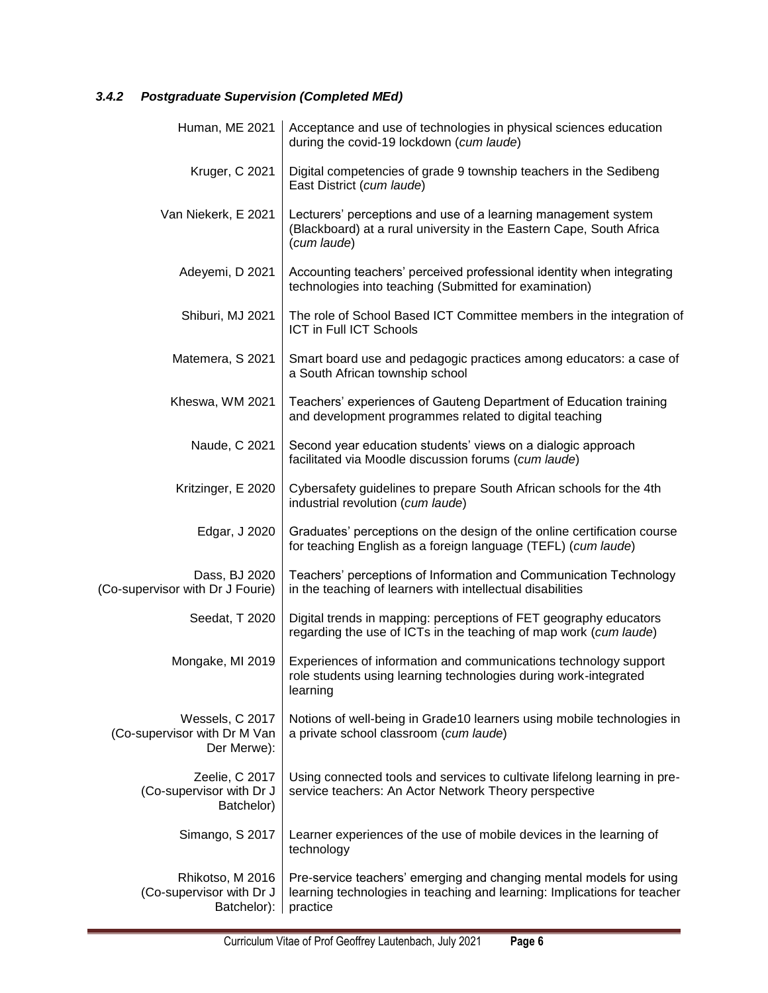# <span id="page-5-0"></span>*3.4.2 Postgraduate Supervision (Completed MEd)*

|                                                                | Human, ME 2021   Acceptance and use of technologies in physical sciences education<br>during the covid-19 lockdown (cum laude)                              |
|----------------------------------------------------------------|-------------------------------------------------------------------------------------------------------------------------------------------------------------|
| Kruger, C 2021                                                 | Digital competencies of grade 9 township teachers in the Sedibeng<br>East District (cum laude)                                                              |
| Van Niekerk, E 2021                                            | Lecturers' perceptions and use of a learning management system<br>(Blackboard) at a rural university in the Eastern Cape, South Africa<br>(cum laude)       |
| Adeyemi, D 2021                                                | Accounting teachers' perceived professional identity when integrating<br>technologies into teaching (Submitted for examination)                             |
| Shiburi, MJ 2021                                               | The role of School Based ICT Committee members in the integration of<br>ICT in Full ICT Schools                                                             |
| Matemera, S 2021                                               | Smart board use and pedagogic practices among educators: a case of<br>a South African township school                                                       |
| Kheswa, WM 2021                                                | Teachers' experiences of Gauteng Department of Education training<br>and development programmes related to digital teaching                                 |
| Naude, C 2021                                                  | Second year education students' views on a dialogic approach<br>facilitated via Moodle discussion forums (cum laude)                                        |
| Kritzinger, E 2020                                             | Cybersafety guidelines to prepare South African schools for the 4th<br>industrial revolution (cum laude)                                                    |
| Edgar, J 2020                                                  | Graduates' perceptions on the design of the online certification course<br>for teaching English as a foreign language (TEFL) (cum laude)                    |
| Dass, BJ 2020<br>(Co-supervisor with Dr J Fourie)              | Teachers' perceptions of Information and Communication Technology<br>in the teaching of learners with intellectual disabilities                             |
| Seedat, T 2020                                                 | Digital trends in mapping: perceptions of FET geography educators<br>regarding the use of ICTs in the teaching of map work (cum laude)                      |
| Mongake, MI 2019                                               | Experiences of information and communications technology support<br>role students using learning technologies during work-integrated<br>learning            |
| Wessels, C 2017<br>(Co-supervisor with Dr M Van<br>Der Merwe): | Notions of well-being in Grade10 learners using mobile technologies in<br>a private school classroom (cum laude)                                            |
| Zeelie, C 2017<br>(Co-supervisor with Dr J<br>Batchelor)       | Using connected tools and services to cultivate lifelong learning in pre-<br>service teachers: An Actor Network Theory perspective                          |
| Simango, S 2017                                                | Learner experiences of the use of mobile devices in the learning of<br>technology                                                                           |
| Rhikotso, M 2016<br>(Co-supervisor with Dr J<br>Batchelor):    | Pre-service teachers' emerging and changing mental models for using<br>learning technologies in teaching and learning: Implications for teacher<br>practice |

<u> 1989 - Johann Barn, amerikansk politiker (</u>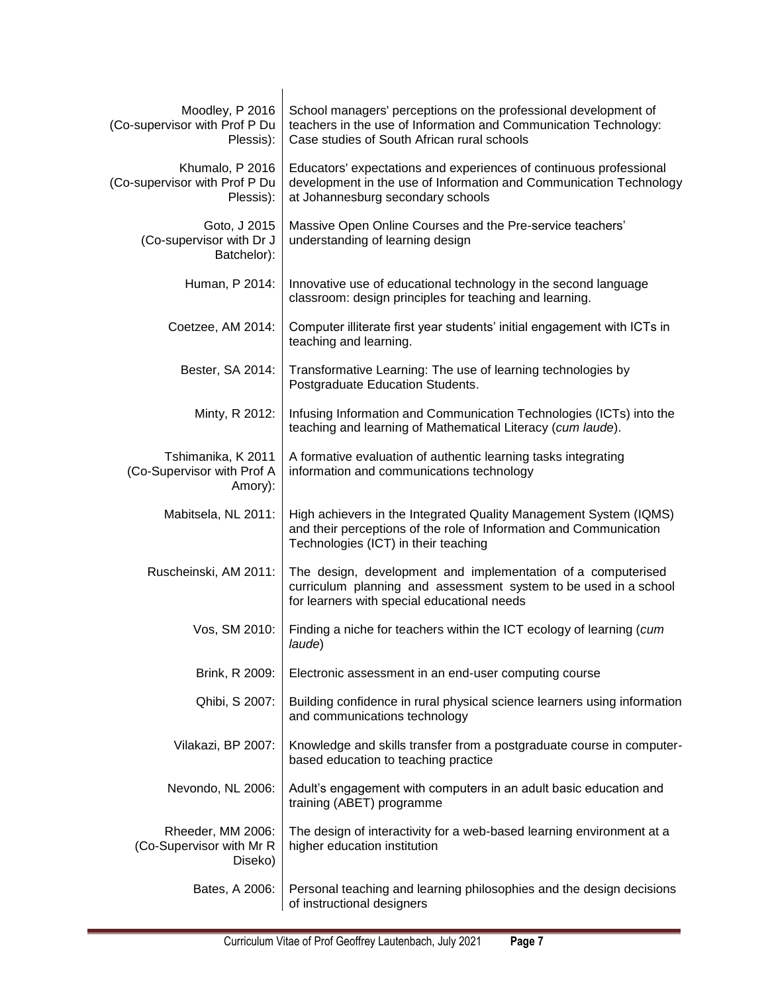| Moodley, P 2016<br>(Co-supervisor with Prof P Du<br>Plessis): | School managers' perceptions on the professional development of<br>teachers in the use of Information and Communication Technology:<br>Case studies of South African rural schools |
|---------------------------------------------------------------|------------------------------------------------------------------------------------------------------------------------------------------------------------------------------------|
| Khumalo, P 2016<br>(Co-supervisor with Prof P Du<br>Plessis): | Educators' expectations and experiences of continuous professional<br>development in the use of Information and Communication Technology<br>at Johannesburg secondary schools      |
| Goto, J 2015<br>(Co-supervisor with Dr J<br>Batchelor):       | Massive Open Online Courses and the Pre-service teachers'<br>understanding of learning design                                                                                      |
| Human, P 2014:                                                | Innovative use of educational technology in the second language<br>classroom: design principles for teaching and learning.                                                         |
| Coetzee, AM 2014:                                             | Computer illiterate first year students' initial engagement with ICTs in<br>teaching and learning.                                                                                 |
| Bester, SA 2014:                                              | Transformative Learning: The use of learning technologies by<br>Postgraduate Education Students.                                                                                   |
| Minty, R 2012:                                                | Infusing Information and Communication Technologies (ICTs) into the<br>teaching and learning of Mathematical Literacy (cum laude).                                                 |
| Tshimanika, K 2011<br>(Co-Supervisor with Prof A<br>Amory):   | A formative evaluation of authentic learning tasks integrating<br>information and communications technology                                                                        |
| Mabitsela, NL 2011:                                           | High achievers in the Integrated Quality Management System (IQMS)<br>and their perceptions of the role of Information and Communication<br>Technologies (ICT) in their teaching    |
| Ruscheinski, AM 2011:                                         | The design, development and implementation of a computerised<br>curriculum planning and assessment system to be used in a school<br>for learners with special educational needs    |
| Vos, SM 2010:                                                 | Finding a niche for teachers within the ICT ecology of learning (cum<br>laude)                                                                                                     |
| Brink, R 2009:                                                | Electronic assessment in an end-user computing course                                                                                                                              |
| Qhibi, S 2007:                                                | Building confidence in rural physical science learners using information<br>and communications technology                                                                          |
| Vilakazi, BP 2007:                                            | Knowledge and skills transfer from a postgraduate course in computer-<br>based education to teaching practice                                                                      |
| Nevondo, NL 2006:                                             | Adult's engagement with computers in an adult basic education and<br>training (ABET) programme                                                                                     |
| Rheeder, MM 2006:<br>(Co-Supervisor with Mr R<br>Diseko)      | The design of interactivity for a web-based learning environment at a<br>higher education institution                                                                              |
| Bates, A 2006:                                                | Personal teaching and learning philosophies and the design decisions<br>of instructional designers                                                                                 |

<u> 1989 - Johann Barn, mars ar breithinn ar chwaraeth a bhaile ann an 1992.</u>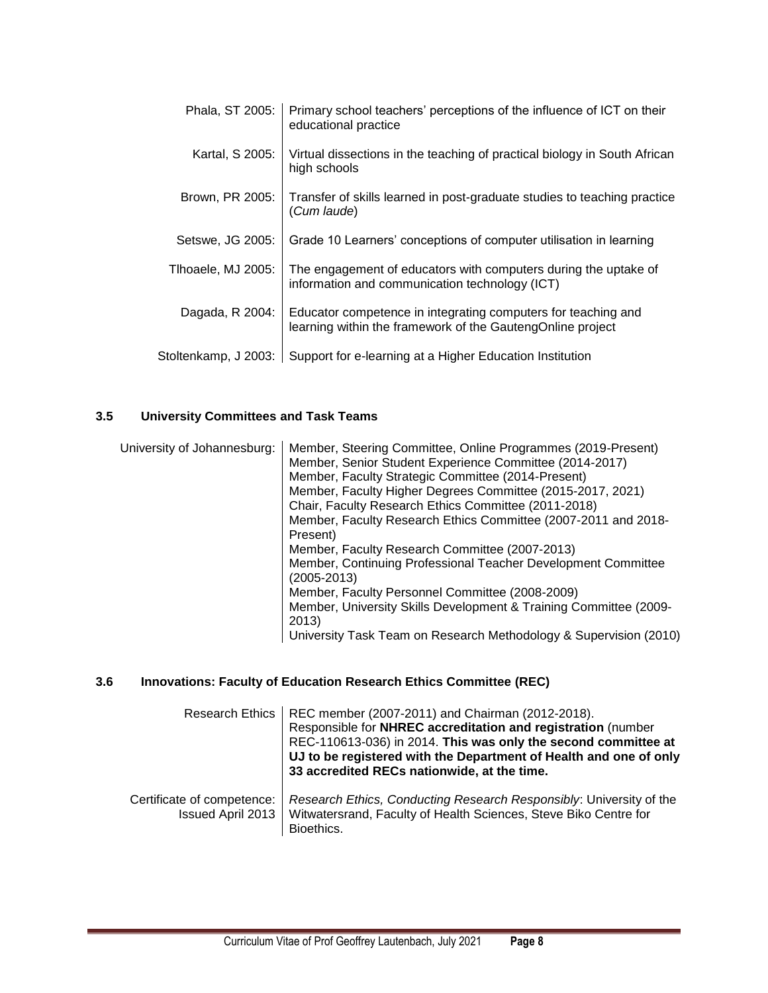| Phala, ST 2005:      | Primary school teachers' perceptions of the influence of ICT on their<br>educational practice                               |
|----------------------|-----------------------------------------------------------------------------------------------------------------------------|
| Kartal, S 2005:      | Virtual dissections in the teaching of practical biology in South African<br>high schools                                   |
| Brown, PR 2005:      | Transfer of skills learned in post-graduate studies to teaching practice<br>(Cum laude)                                     |
| Setswe, JG 2005:     | Grade 10 Learners' conceptions of computer utilisation in learning                                                          |
| Tlhoaele, MJ 2005:   | The engagement of educators with computers during the uptake of<br>information and communication technology (ICT)           |
| Dagada, R 2004:      | Educator competence in integrating computers for teaching and<br>learning within the framework of the GautengOnline project |
| Stoltenkamp, J 2003: | Support for e-learning at a Higher Education Institution                                                                    |

# <span id="page-7-0"></span>**3.5 University Committees and Task Teams**

| University of Johannesburg: | Member, Steering Committee, Online Programmes (2019-Present)<br>Member, Senior Student Experience Committee (2014-2017)<br>Member, Faculty Strategic Committee (2014-Present)<br>Member, Faculty Higher Degrees Committee (2015-2017, 2021)<br>Chair, Faculty Research Ethics Committee (2011-2018)<br>Member, Faculty Research Ethics Committee (2007-2011 and 2018-<br>Present)<br>Member, Faculty Research Committee (2007-2013) |
|-----------------------------|-------------------------------------------------------------------------------------------------------------------------------------------------------------------------------------------------------------------------------------------------------------------------------------------------------------------------------------------------------------------------------------------------------------------------------------|
|                             | Member, Continuing Professional Teacher Development Committee<br>$(2005 - 2013)$<br>Member, Faculty Personnel Committee (2008-2009)                                                                                                                                                                                                                                                                                                 |
|                             | Member, University Skills Development & Training Committee (2009-<br>2013)                                                                                                                                                                                                                                                                                                                                                          |
|                             | University Task Team on Research Methodology & Supervision (2010)                                                                                                                                                                                                                                                                                                                                                                   |

# <span id="page-7-1"></span>**3.6 Innovations: Faculty of Education Research Ethics Committee (REC)**

|                                                        | Research Ethics   REC member (2007-2011) and Chairman (2012-2018).<br>Responsible for NHREC accreditation and registration (number<br>REC-110613-036) in 2014. This was only the second committee at<br>UJ to be registered with the Department of Health and one of only<br>33 accredited RECs nationwide, at the time. |
|--------------------------------------------------------|--------------------------------------------------------------------------------------------------------------------------------------------------------------------------------------------------------------------------------------------------------------------------------------------------------------------------|
| Certificate of competence:<br><b>Issued April 2013</b> | Research Ethics, Conducting Research Responsibly: University of the<br>Witwatersrand, Faculty of Health Sciences, Steve Biko Centre for<br>Bioethics.                                                                                                                                                                    |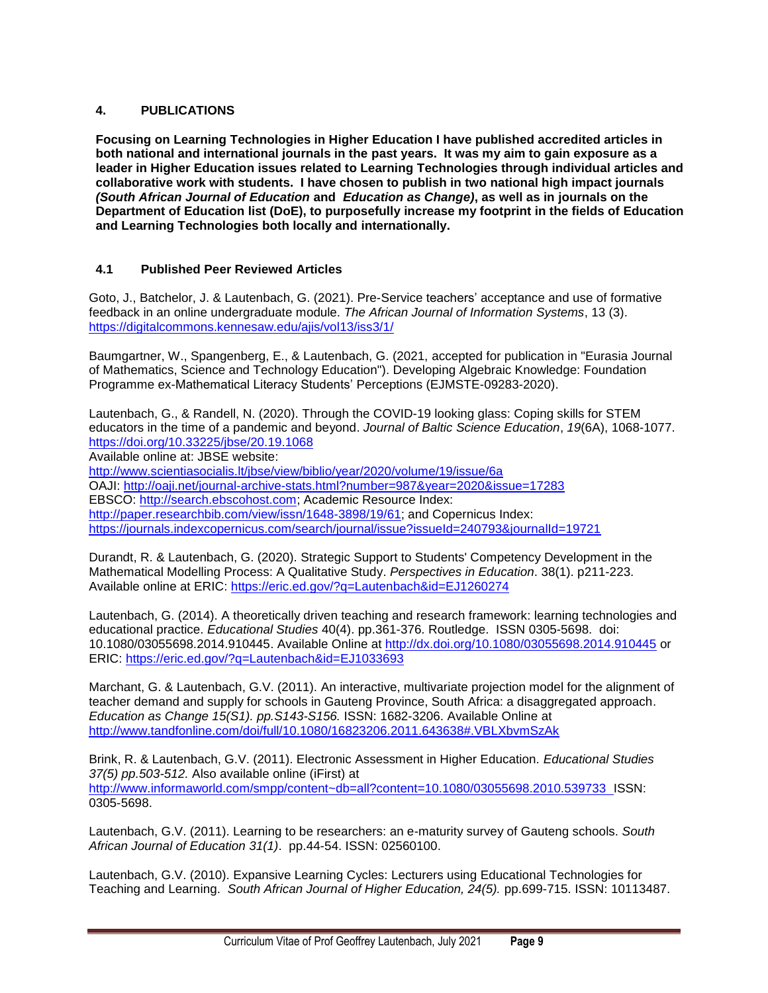### <span id="page-8-0"></span>**4. PUBLICATIONS**

**Focusing on Learning Technologies in Higher Education I have published accredited articles in both national and international journals in the past years. It was my aim to gain exposure as a leader in Higher Education issues related to Learning Technologies through individual articles and collaborative work with students. I have chosen to publish in two national high impact journals** *(South African Journal of Education* **and** *Education as Change)***, as well as in journals on the Department of Education list (DoE), to purposefully increase my footprint in the fields of Education and Learning Technologies both locally and internationally.**

### <span id="page-8-1"></span>**4.1 Published Peer Reviewed Articles**

Goto, J., Batchelor, J. & Lautenbach, G. (2021). Pre-Service teachers' acceptance and use of formative feedback in an online undergraduate module. *The African Journal of Information Systems*, 13 (3). <https://digitalcommons.kennesaw.edu/ajis/vol13/iss3/1/>

Baumgartner, W., Spangenberg, E., & Lautenbach, G. (2021, accepted for publication in "Eurasia Journal of Mathematics, Science and Technology Education"). Developing Algebraic Knowledge: Foundation Programme ex-Mathematical Literacy Students' Perceptions (EJMSTE-09283-2020).

Lautenbach, G., & Randell, N. (2020). Through the COVID-19 looking glass: Coping skills for STEM educators in the time of a pandemic and beyond. *Journal of Baltic Science Education*, *19*(6A), 1068-1077. <https://doi.org/10.33225/jbse/20.19.1068>

Available online at: JBSE website:

<http://www.scientiasocialis.lt/jbse/view/biblio/year/2020/volume/19/issue/6a> OAJI:<http://oaji.net/journal-archive-stats.html?number=987&year=2020&issue=17283> EBSCO: [http://search.ebscohost.com;](http://search.ebscohost.com/) Academic Resource Index: [http://paper.researchbib.com/view/issn/1648-3898/19/61;](http://paper.researchbib.com/view/issn/1648-3898/19/61) and Copernicus Index: <https://journals.indexcopernicus.com/search/journal/issue?issueId=240793&journalId=19721>

Durandt, R. & Lautenbach, G. (2020). Strategic Support to Students' Competency Development in the Mathematical Modelling Process: A Qualitative Study. *Perspectives in Education*. 38(1). p211-223. Available online at ERIC:<https://eric.ed.gov/?q=Lautenbach&id=EJ1260274>

Lautenbach, G. (2014). A theoretically driven teaching and research framework: learning technologies and educational practice. *Educational Studies* 40(4). pp.361-376. Routledge. ISSN 0305-5698. doi: 10.1080/03055698.2014.910445. Available Online at<http://dx.doi.org/10.1080/03055698.2014.910445> or ERIC:<https://eric.ed.gov/?q=Lautenbach&id=EJ1033693>

Marchant, G. & Lautenbach, G.V. (2011). An interactive, multivariate projection model for the alignment of teacher demand and supply for schools in Gauteng Province, South Africa: a disaggregated approach. *Education as Change 15(S1). pp.S143-S156.* ISSN: 1682-3206. Available Online at <http://www.tandfonline.com/doi/full/10.1080/16823206.2011.643638#.VBLXbvmSzAk>

Brink, R. & Lautenbach, G.V. (2011). Electronic Assessment in Higher Education. *Educational Studies 37(5) pp.503-512.* Also available online (iFirst) at <http://www.informaworld.com/smpp/content~db=all?content=10.1080/03055698.2010.539733>ISSN: 0305-5698.

Lautenbach, G.V. (2011). Learning to be researchers: an e-maturity survey of Gauteng schools. *South African Journal of Education 31(1)*. pp.44-54. ISSN: 02560100.

Lautenbach, G.V. (2010). Expansive Learning Cycles: Lecturers using Educational Technologies for Teaching and Learning. *South African Journal of Higher Education, 24(5).* pp.699-715. ISSN: 10113487.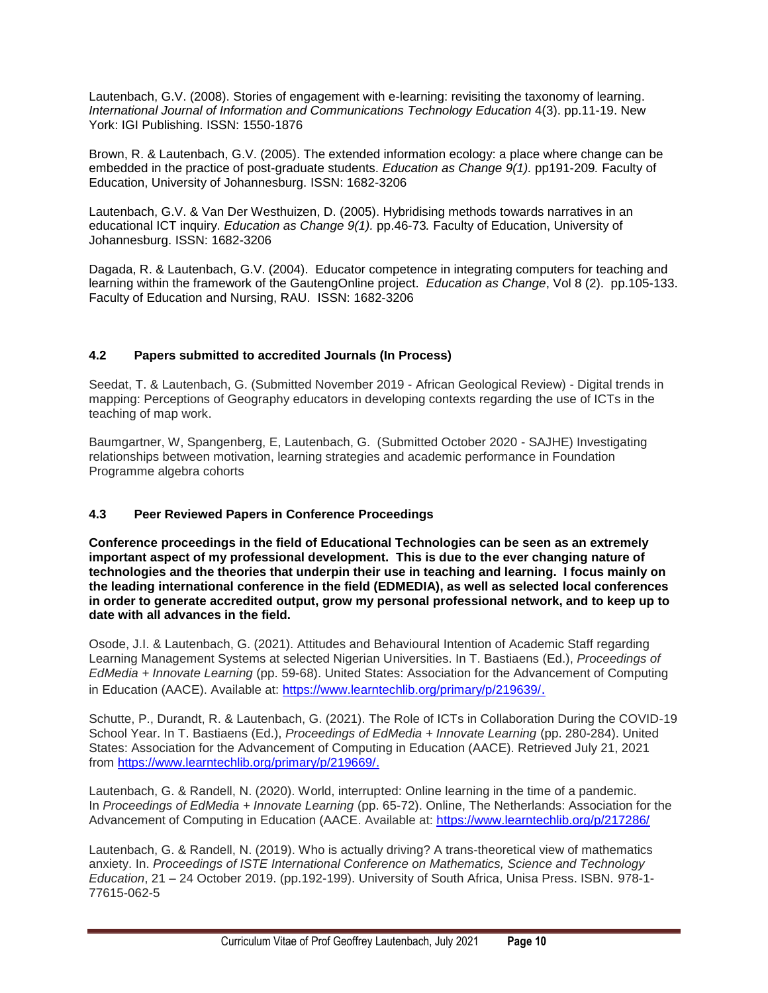Lautenbach, G.V. (2008). Stories of engagement with e-learning: revisiting the taxonomy of learning. *International Journal of Information and Communications Technology Education* 4(3). pp.11-19. New York: IGI Publishing. ISSN: 1550-1876

Brown, R. & Lautenbach, G.V. (2005). The extended information ecology: a place where change can be embedded in the practice of post-graduate students. *Education as Change 9(1).* pp191-209*.* Faculty of Education, University of Johannesburg. ISSN: 1682-3206

Lautenbach, G.V. & Van Der Westhuizen, D. (2005). Hybridising methods towards narratives in an educational ICT inquiry. *Education as Change 9(1).* pp.46-73*.* Faculty of Education, University of Johannesburg. ISSN: 1682-3206

Dagada, R. & Lautenbach, G.V. (2004). Educator competence in integrating computers for teaching and learning within the framework of the GautengOnline project. *Education as Change*, Vol 8 (2). pp.105-133. Faculty of Education and Nursing, RAU. ISSN: 1682-3206

### <span id="page-9-0"></span>**4.2 Papers submitted to accredited Journals (In Process)**

Seedat, T. & Lautenbach, G. (Submitted November 2019 - African Geological Review) - Digital trends in mapping: Perceptions of Geography educators in developing contexts regarding the use of ICTs in the teaching of map work.

Baumgartner, W, Spangenberg, E, Lautenbach, G. (Submitted October 2020 - SAJHE) Investigating relationships between motivation, learning strategies and academic performance in Foundation Programme algebra cohorts

### <span id="page-9-1"></span>**4.3 Peer Reviewed Papers in Conference Proceedings**

**Conference proceedings in the field of Educational Technologies can be seen as an extremely important aspect of my professional development. This is due to the ever changing nature of technologies and the theories that underpin their use in teaching and learning. I focus mainly on the leading international conference in the field (EDMEDIA), as well as selected local conferences in order to generate accredited output, grow my personal professional network, and to keep up to date with all advances in the field.** 

Osode, J.I. & Lautenbach, G. (2021). Attitudes and Behavioural Intention of Academic Staff regarding Learning Management Systems at selected Nigerian Universities. In T. Bastiaens (Ed.), *Proceedings of EdMedia + Innovate Learning* (pp. 59-68). United States: Association for the Advancement of Computing in Education (AACE). Available at: <https://www.learntechlib.org/primary/p/219639/>.

Schutte, P., Durandt, R. & Lautenbach, G. (2021). The Role of ICTs in Collaboration During the COVID-19 School Year. In T. Bastiaens (Ed.), *Proceedings of EdMedia + Innovate Learning* (pp. 280-284). United States: Association for the Advancement of Computing in Education (AACE). Retrieved July 21, 2021 from [https://www.learntechlib.org/primary/p/219669/.](https://www.learntechlib.org/primary/p/219669/)

Lautenbach, G. & Randell, N. (2020). World, interrupted: Online learning in the time of a pandemic. In *Proceedings of EdMedia + Innovate Learning* (pp. 65-72). Online, The Netherlands: Association for the Advancement of Computing in Education (AACE. Available at:<https://www.learntechlib.org/p/217286/>

Lautenbach, G. & Randell, N. (2019). Who is actually driving? A trans-theoretical view of mathematics anxiety. In. *Proceedings of ISTE International Conference on Mathematics, Science and Technology Education*, 21 – 24 October 2019. (pp.192-199). University of South Africa, Unisa Press. ISBN. 978-1- 77615-062-5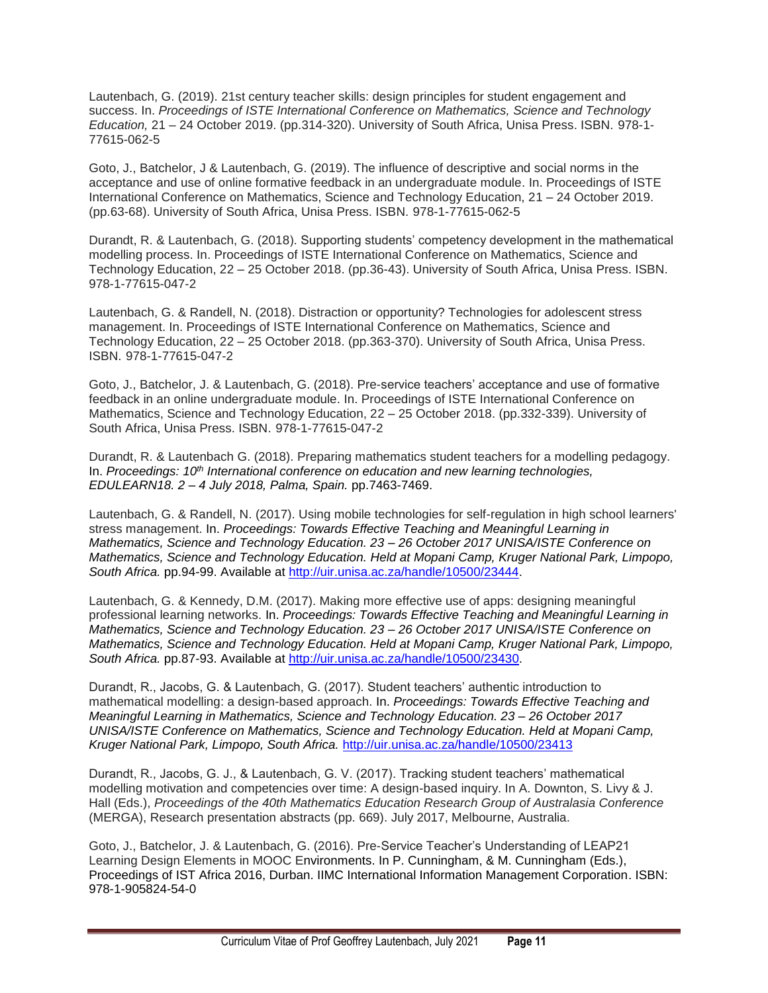Lautenbach, G. (2019). 21st century teacher skills: design principles for student engagement and success. In. *Proceedings of ISTE International Conference on Mathematics, Science and Technology Education,* 21 – 24 October 2019. (pp.314-320). University of South Africa, Unisa Press. ISBN. 978-1- 77615-062-5

Goto, J., Batchelor, J & Lautenbach, G. (2019). The influence of descriptive and social norms in the acceptance and use of online formative feedback in an undergraduate module. In. Proceedings of ISTE International Conference on Mathematics, Science and Technology Education, 21 – 24 October 2019. (pp.63-68). University of South Africa, Unisa Press. ISBN. 978-1-77615-062-5

Durandt, R. & Lautenbach, G. (2018). Supporting students' competency development in the mathematical modelling process. In. Proceedings of ISTE International Conference on Mathematics, Science and Technology Education, 22 – 25 October 2018. (pp.36-43). University of South Africa, Unisa Press. ISBN. 978-1-77615-047-2

Lautenbach, G. & Randell, N. (2018). Distraction or opportunity? Technologies for adolescent stress management. In. Proceedings of ISTE International Conference on Mathematics, Science and Technology Education, 22 – 25 October 2018. (pp.363-370). University of South Africa, Unisa Press. ISBN. 978-1-77615-047-2

Goto, J., Batchelor, J. & Lautenbach, G. (2018). Pre-service teachers' acceptance and use of formative feedback in an online undergraduate module. In. Proceedings of ISTE International Conference on Mathematics, Science and Technology Education, 22 – 25 October 2018. (pp.332-339). University of South Africa, Unisa Press. ISBN. 978-1-77615-047-2

Durandt, R. & Lautenbach G. (2018). Preparing mathematics student teachers for a modelling pedagogy. In. *Proceedings: 10th International conference on education and new learning technologies, EDULEARN18. 2 – 4 July 2018, Palma, Spain.* pp.7463-7469.

Lautenbach, G. & Randell, N. (2017). Using mobile technologies for self-regulation in high school learners' stress management. In. *Proceedings: Towards Effective Teaching and Meaningful Learning in Mathematics, Science and Technology Education. 23 – 26 October 2017 UNISA/ISTE Conference on Mathematics, Science and Technology Education. Held at Mopani Camp, Kruger National Park, Limpopo, South Africa.* pp.94-99. Available at [http://uir.unisa.ac.za/handle/10500/23444.](http://uir.unisa.ac.za/handle/10500/23444)

Lautenbach, G. & Kennedy, D.M. (2017). Making more effective use of apps: designing meaningful professional learning networks. In. *Proceedings: Towards Effective Teaching and Meaningful Learning in Mathematics, Science and Technology Education. 23 – 26 October 2017 UNISA/ISTE Conference on Mathematics, Science and Technology Education. Held at Mopani Camp, Kruger National Park, Limpopo, South Africa.* pp.87-93. Available at [http://uir.unisa.ac.za/handle/10500/23430.](http://uir.unisa.ac.za/handle/10500/23430)

Durandt, R., Jacobs, G. & Lautenbach, G. (2017). Student teachers' authentic introduction to mathematical modelling: a design-based approach. In. *Proceedings: Towards Effective Teaching and Meaningful Learning in Mathematics, Science and Technology Education. 23 – 26 October 2017 UNISA/ISTE Conference on Mathematics, Science and Technology Education. Held at Mopani Camp, Kruger National Park, Limpopo, South Africa.* <http://uir.unisa.ac.za/handle/10500/23413>

Durandt, R., Jacobs, G. J., & Lautenbach, G. V. (2017). Tracking student teachers' mathematical modelling motivation and competencies over time: A design-based inquiry. In A. Downton, S. Livy & J. Hall (Eds.), *Proceedings of the 40th Mathematics Education Research Group of Australasia Conference* (MERGA), Research presentation abstracts (pp. 669). July 2017, Melbourne, Australia.

Goto, J., Batchelor, J. & Lautenbach, G. (2016). Pre-Service Teacher's Understanding of LEAP21 Learning Design Elements in MOOC Environments. In P. Cunningham, & M. Cunningham (Eds.), Proceedings of IST Africa 2016, Durban. IIMC International Information Management Corporation. ISBN: 978-1-905824-54-0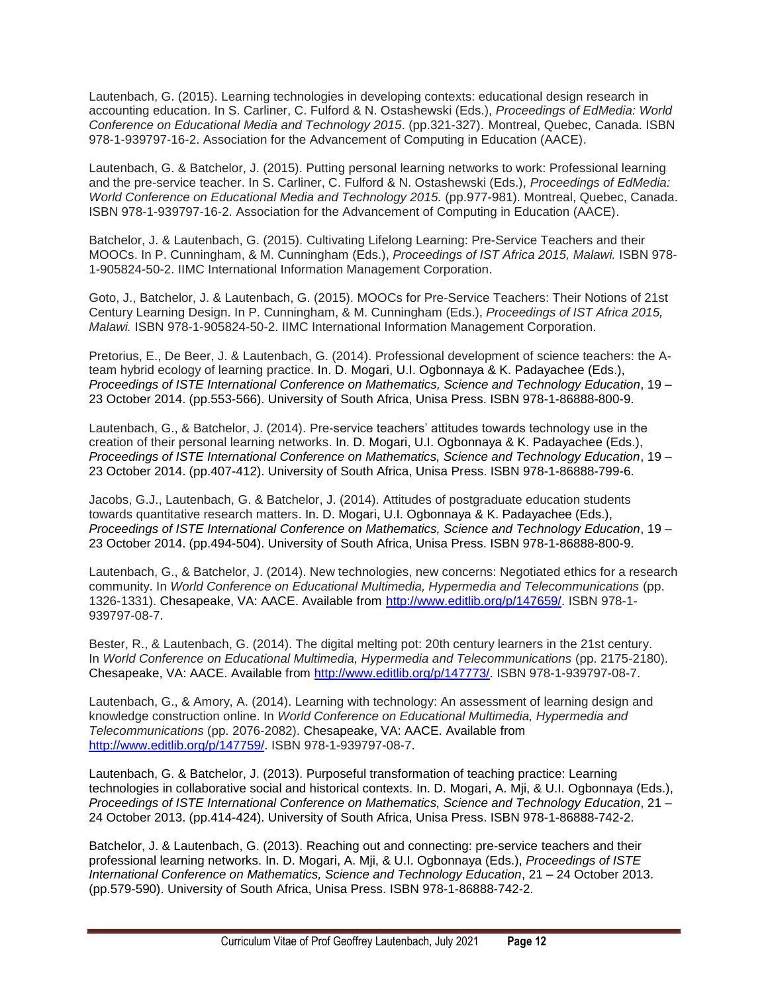Lautenbach, G. (2015). Learning technologies in developing contexts: educational design research in accounting education. In S. Carliner, C. Fulford & N. Ostashewski (Eds.), *Proceedings of EdMedia: World Conference on Educational Media and Technology 2015*. (pp.321-327). Montreal, Quebec, Canada. ISBN 978-1-939797-16-2. Association for the Advancement of Computing in Education (AACE).

Lautenbach, G. & Batchelor, J. (2015). Putting personal learning networks to work: Professional learning and the pre-service teacher. In S. Carliner, C. Fulford & N. Ostashewski (Eds.), *Proceedings of EdMedia: World Conference on Educational Media and Technology 2015.* (pp.977-981). Montreal, Quebec, Canada. ISBN 978-1-939797-16-2. Association for the Advancement of Computing in Education (AACE).

Batchelor, J. & Lautenbach, G. (2015). Cultivating Lifelong Learning: Pre-Service Teachers and their MOOCs. In P. Cunningham, & M. Cunningham (Eds.), *Proceedings of IST Africa 2015, Malawi.* ISBN 978- 1-905824-50-2. IIMC International Information Management Corporation.

Goto, J., Batchelor, J. & Lautenbach, G. (2015). MOOCs for Pre-Service Teachers: Their Notions of 21st Century Learning Design. In P. Cunningham, & M. Cunningham (Eds.), *Proceedings of IST Africa 2015, Malawi.* ISBN 978-1-905824-50-2. IIMC International Information Management Corporation.

Pretorius, E., De Beer, J. & Lautenbach, G. (2014). Professional development of science teachers: the Ateam hybrid ecology of learning practice. In. D. Mogari, U.I. Ogbonnaya & K. Padayachee (Eds.), *Proceedings of ISTE International Conference on Mathematics, Science and Technology Education*, 19 – 23 October 2014. (pp.553-566). University of South Africa, Unisa Press. ISBN 978-1-86888-800-9.

Lautenbach, G., & Batchelor, J. (2014). Pre-service teachers' attitudes towards technology use in the creation of their personal learning networks. In. D. Mogari, U.I. Ogbonnaya & K. Padayachee (Eds.), *Proceedings of ISTE International Conference on Mathematics, Science and Technology Education*, 19 – 23 October 2014. (pp.407-412). University of South Africa, Unisa Press. ISBN 978-1-86888-799-6.

Jacobs, G.J., Lautenbach, G. & Batchelor, J. (2014). Attitudes of postgraduate education students towards quantitative research matters. In. D. Mogari, U.I. Ogbonnaya & K. Padayachee (Eds.), *Proceedings of ISTE International Conference on Mathematics, Science and Technology Education*, 19 – 23 October 2014. (pp.494-504). University of South Africa, Unisa Press. ISBN 978-1-86888-800-9.

Lautenbach, G., & Batchelor, J. (2014). New technologies, new concerns: Negotiated ethics for a research community. In *World Conference on Educational Multimedia, Hypermedia and Telecommunications* (pp. 1326-1331). Chesapeake, VA: AACE. Available from [http://www.editlib.org/p/147659/.](http://www.editlib.org/p/147659/) ISBN 978-1- 939797-08-7.

Bester, R., & Lautenbach, G. (2014). The digital melting pot: 20th century learners in the 21st century. In *World Conference on Educational Multimedia, Hypermedia and Telecommunications* (pp. 2175-2180). Chesapeake, VA: AACE. Available from [http://www.editlib.org/p/147773/.](http://www.editlib.org/p/147773/) ISBN 978-1-939797-08-7.

Lautenbach, G., & Amory, A. (2014). Learning with technology: An assessment of learning design and knowledge construction online. In *World Conference on Educational Multimedia, Hypermedia and Telecommunications* (pp. 2076-2082). Chesapeake, VA: AACE. Available from [http://www.editlib.org/p/147759/.](http://www.editlib.org/p/147759/) ISBN 978-1-939797-08-7.

Lautenbach, G. & Batchelor, J. (2013). Purposeful transformation of teaching practice: Learning technologies in collaborative social and historical contexts. In. D. Mogari, A. Mji, & U.I. Ogbonnaya (Eds.), *Proceedings of ISTE International Conference on Mathematics, Science and Technology Education*, 21 – 24 October 2013. (pp.414-424). University of South Africa, Unisa Press. ISBN 978-1-86888-742-2.

Batchelor, J. & Lautenbach, G. (2013). Reaching out and connecting: pre-service teachers and their professional learning networks. In. D. Mogari, A. Mji, & U.I. Ogbonnaya (Eds.), *Proceedings of ISTE International Conference on Mathematics, Science and Technology Education*, 21 – 24 October 2013. (pp.579-590). University of South Africa, Unisa Press. ISBN 978-1-86888-742-2.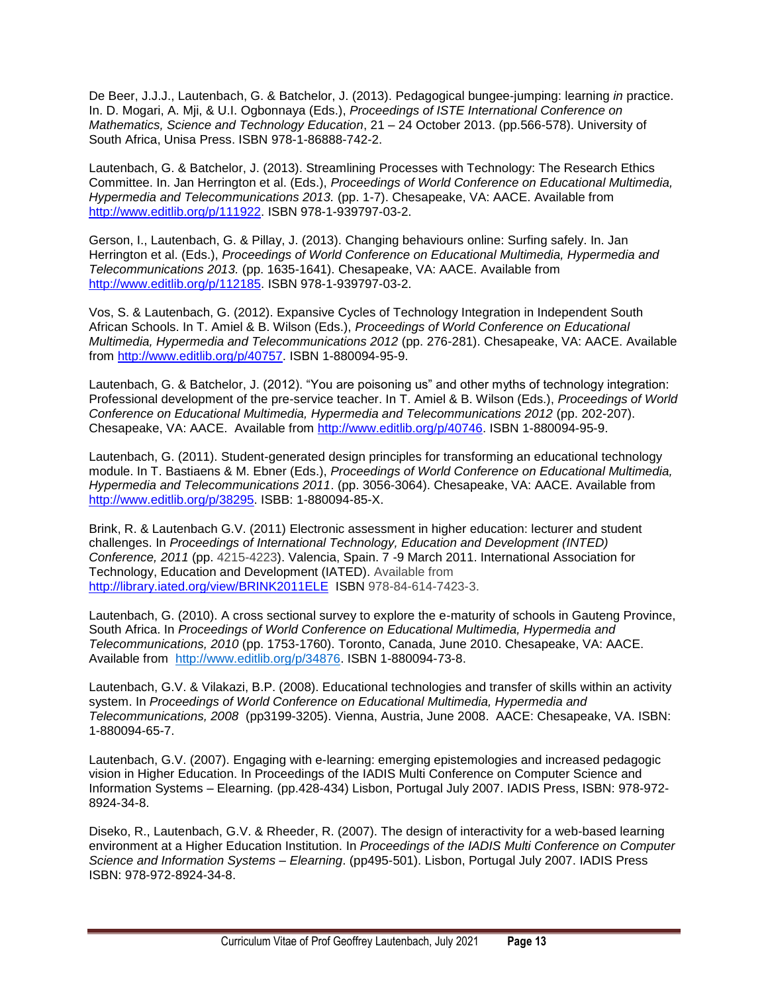De Beer, J.J.J., Lautenbach, G. & Batchelor, J. (2013). Pedagogical bungee-jumping: learning *in* practice. In. D. Mogari, A. Mji, & U.I. Ogbonnaya (Eds.), *Proceedings of ISTE International Conference on Mathematics, Science and Technology Education*, 21 – 24 October 2013. (pp.566-578). University of South Africa, Unisa Press. ISBN 978-1-86888-742-2.

Lautenbach, G. & Batchelor, J. (2013). Streamlining Processes with Technology: The Research Ethics Committee. In. Jan Herrington et al. (Eds.), *Proceedings of World Conference on Educational Multimedia, Hypermedia and Telecommunications 2013.* (pp. 1-7). Chesapeake, VA: AACE. Available from [http://www.editlib.org/p/111922.](http://www.editlib.org/p/111922) ISBN 978-1-939797-03-2.

Gerson, I., Lautenbach, G. & Pillay, J. (2013). Changing behaviours online: Surfing safely. In. Jan Herrington et al. (Eds.), *Proceedings of World Conference on Educational Multimedia, Hypermedia and Telecommunications 2013.* (pp. 1635-1641). Chesapeake, VA: AACE. Available from [http://www.editlib.org/p/112185.](http://www.editlib.org/p/112185) ISBN 978-1-939797-03-2.

Vos, S. & Lautenbach, G. (2012). Expansive Cycles of Technology Integration in Independent South African Schools. In T. Amiel & B. Wilson (Eds.), *Proceedings of World Conference on Educational Multimedia, Hypermedia and Telecommunications 2012* (pp. 276-281). Chesapeake, VA: AACE. Available from [http://www.editlib.org/p/40757.](http://www.editlib.org/p/40757) ISBN 1-880094-95-9.

Lautenbach, G. & Batchelor, J. (2012). "You are poisoning us" and other myths of technology integration: Professional development of the pre-service teacher. In T. Amiel & B. Wilson (Eds.), *Proceedings of World Conference on Educational Multimedia, Hypermedia and Telecommunications 2012* (pp. 202-207). Chesapeake, VA: AACE. Available from [http://www.editlib.org/p/40746.](http://www.editlib.org/p/40746) ISBN 1-880094-95-9.

Lautenbach, G. (2011). Student-generated design principles for transforming an educational technology module. In T. Bastiaens & M. Ebner (Eds.), *Proceedings of World Conference on Educational Multimedia, Hypermedia and Telecommunications 2011*. (pp. 3056-3064). Chesapeake, VA: AACE. Available from [http://www.editlib.org/p/38295.](http://www.editlib.org/p/38295) ISBB: 1-880094-85-X.

Brink, R. & Lautenbach G.V. (2011) Electronic assessment in higher education: lecturer and student challenges. In *Proceedings of International Technology, Education and Development (INTED) Conference, 2011* (pp. 4215-4223). Valencia, Spain. 7 -9 March 2011. International Association for Technology, Education and Development (IATED). Available from <http://library.iated.org/view/BRINK2011ELE> ISBN 978-84-614-7423-3.

Lautenbach, G. (2010). A cross sectional survey to explore the e-maturity of schools in Gauteng Province, South Africa. In *Proceedings of World Conference on Educational Multimedia, Hypermedia and Telecommunications, 2010* (pp. 1753-1760). Toronto, Canada, June 2010. Chesapeake, VA: AACE. Available from [http://www.editlib.org/p/34876.](http://www.editlib.org/p/34876) ISBN 1-880094-73-8.

Lautenbach, G.V. & Vilakazi, B.P. (2008). Educational technologies and transfer of skills within an activity system. In *Proceedings of World Conference on Educational Multimedia, Hypermedia and Telecommunications, 2008* (pp3199-3205). Vienna, Austria, June 2008. AACE: Chesapeake, VA. ISBN: 1-880094-65-7.

Lautenbach, G.V. (2007). Engaging with e-learning: emerging epistemologies and increased pedagogic vision in Higher Education. In Proceedings of the IADIS Multi Conference on Computer Science and Information Systems – Elearning. (pp.428-434) Lisbon, Portugal July 2007. IADIS Press, ISBN: 978-972- 8924-34-8.

Diseko, R., Lautenbach, G.V. & Rheeder, R. (2007). The design of interactivity for a web-based learning environment at a Higher Education Institution. In *Proceedings of the IADIS Multi Conference on Computer Science and Information Systems – Elearning*. (pp495-501). Lisbon, Portugal July 2007. IADIS Press ISBN: 978-972-8924-34-8.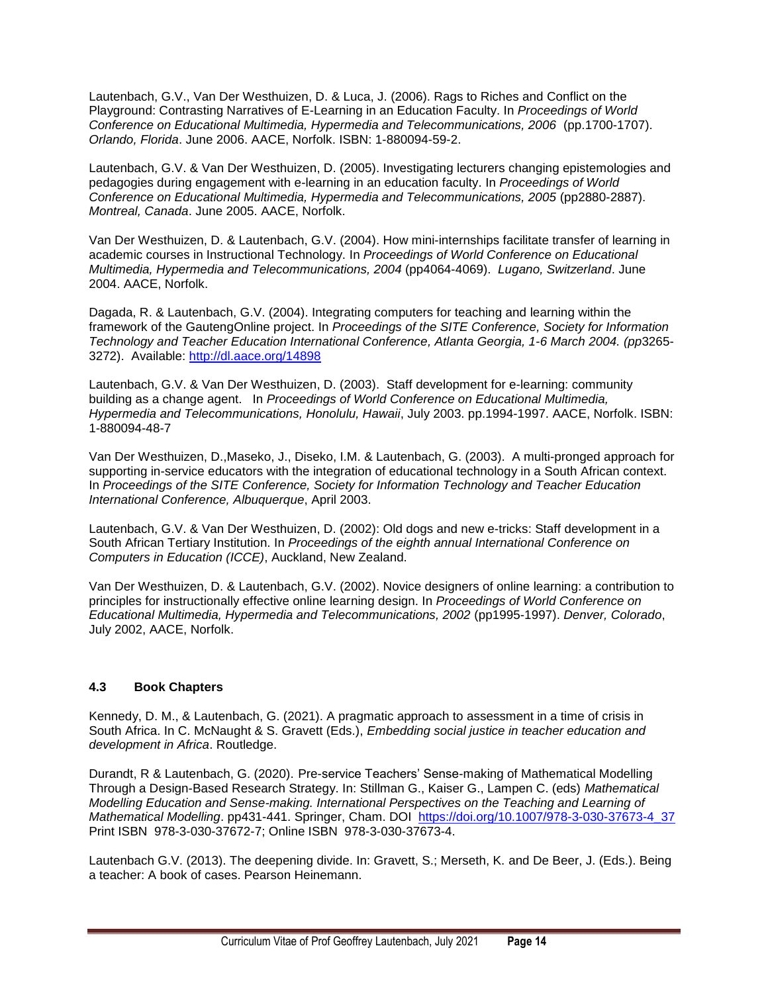Lautenbach, G.V., Van Der Westhuizen, D. & Luca, J. (2006). Rags to Riches and Conflict on the Playground: Contrasting Narratives of E-Learning in an Education Faculty. In *Proceedings of World Conference on Educational Multimedia, Hypermedia and Telecommunications, 2006* (pp.1700-1707). *Orlando, Florida*. June 2006. AACE, Norfolk. ISBN: 1-880094-59-2.

Lautenbach, G.V. & Van Der Westhuizen, D. (2005). Investigating lecturers changing epistemologies and pedagogies during engagement with e-learning in an education faculty. In *Proceedings of World Conference on Educational Multimedia, Hypermedia and Telecommunications, 2005* (pp2880-2887). *Montreal, Canada*. June 2005. AACE, Norfolk.

Van Der Westhuizen, D. & Lautenbach, G.V. (2004). How mini-internships facilitate transfer of learning in academic courses in Instructional Technology. In *Proceedings of World Conference on Educational Multimedia, Hypermedia and Telecommunications, 2004* (pp4064-4069). *Lugano, Switzerland*. June 2004. AACE, Norfolk.

Dagada, R. & Lautenbach, G.V. (2004). Integrating computers for teaching and learning within the framework of the GautengOnline project. In *Proceedings of the SITE Conference, Society for Information Technology and Teacher Education International Conference, Atlanta Georgia, 1-6 March 2004. (pp*3265- 3272). Available:<http://dl.aace.org/14898>

Lautenbach, G.V. & Van Der Westhuizen, D. (2003). Staff development for e-learning: community building as a change agent. In *Proceedings of World Conference on Educational Multimedia, Hypermedia and Telecommunications, Honolulu, Hawaii*, July 2003. pp.1994-1997. AACE, Norfolk. ISBN: 1-880094-48-7

Van Der Westhuizen, D.,Maseko, J., Diseko, I.M. & Lautenbach, G. (2003). A multi-pronged approach for supporting in-service educators with the integration of educational technology in a South African context. In *Proceedings of the SITE Conference, Society for Information Technology and Teacher Education International Conference, Albuquerque*, April 2003.

Lautenbach, G.V. & Van Der Westhuizen, D. (2002): Old dogs and new e-tricks: Staff development in a South African Tertiary Institution. In *Proceedings of the eighth annual International Conference on Computers in Education (ICCE)*, Auckland, New Zealand.

Van Der Westhuizen, D. & Lautenbach, G.V. (2002). Novice designers of online learning: a contribution to principles for instructionally effective online learning design. In *Proceedings of World Conference on Educational Multimedia, Hypermedia and Telecommunications, 2002* (pp1995-1997). *Denver, Colorado*, July 2002, AACE, Norfolk.

### <span id="page-13-0"></span>**4.3 Book Chapters**

Kennedy, D. M., & Lautenbach, G. (2021). A pragmatic approach to assessment in a time of crisis in South Africa. In C. McNaught & S. Gravett (Eds.), *Embedding social justice in teacher education and development in Africa*. Routledge.

Durandt, R & Lautenbach, G. (2020). Pre-service Teachers' Sense-making of Mathematical Modelling Through a Design-Based Research Strategy. In: Stillman G., Kaiser G., Lampen C. (eds) *Mathematical Modelling Education and Sense-making. International Perspectives on the Teaching and Learning of Mathematical Modelling*. pp431-441. Springer, Cham. DOI [https://doi.org/10.1007/978-3-030-37673-4\\_37](https://doi.org/10.1007/978-3-030-37673-4_37)  Print ISBN 978-3-030-37672-7; Online ISBN 978-3-030-37673-4.

Lautenbach G.V. (2013). The deepening divide. In: Gravett, S.; Merseth, K. and De Beer, J. (Eds.). Being a teacher: A book of cases. Pearson Heinemann.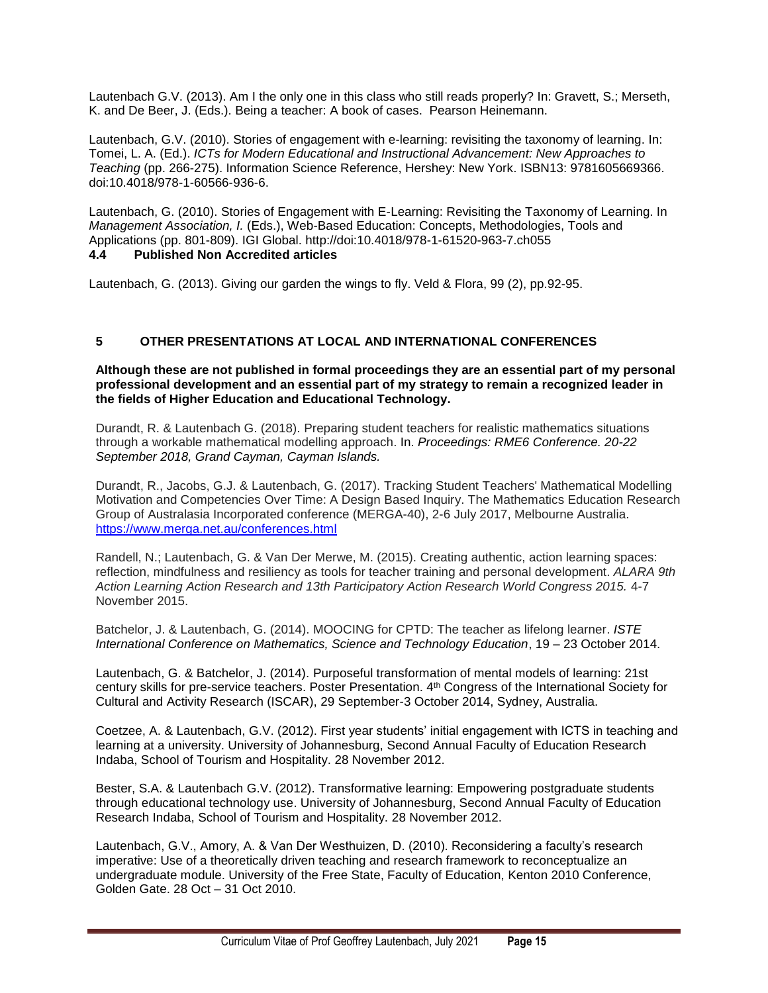Lautenbach G.V. (2013). Am I the only one in this class who still reads properly? In: Gravett, S.; Merseth, K. and De Beer, J. (Eds.). Being a teacher: A book of cases. Pearson Heinemann.

Lautenbach, G.V. (2010). Stories of engagement with e-learning: revisiting the taxonomy of learning. In: Tomei, L. A. (Ed.). *ICTs for Modern Educational and Instructional Advancement: New Approaches to Teaching* (pp. 266-275). Information Science Reference, Hershey: New York. ISBN13: 9781605669366. doi:10.4018/978-1-60566-936-6.

Lautenbach, G. (2010). Stories of Engagement with E-Learning: Revisiting the Taxonomy of Learning. In *Management Association, I.* (Eds.), Web-Based Education: Concepts, Methodologies, Tools and Applications (pp. 801-809). IGI Global. http://doi:10.4018/978-1-61520-963-7.ch055

### <span id="page-14-0"></span>**4.4 Published Non Accredited articles**

Lautenbach, G. (2013). Giving our garden the wings to fly. Veld & Flora, 99 (2), pp.92-95.

### <span id="page-14-1"></span>**5 OTHER PRESENTATIONS AT LOCAL AND INTERNATIONAL CONFERENCES**

#### **Although these are not published in formal proceedings they are an essential part of my personal professional development and an essential part of my strategy to remain a recognized leader in the fields of Higher Education and Educational Technology.**

Durandt, R. & Lautenbach G. (2018). Preparing student teachers for realistic mathematics situations through a workable mathematical modelling approach. In. *Proceedings: RME6 Conference. 20-22 September 2018, Grand Cayman, Cayman Islands.*

Durandt, R., Jacobs, G.J. & Lautenbach, G. (2017). Tracking Student Teachers' Mathematical Modelling Motivation and Competencies Over Time: A Design Based Inquiry. The Mathematics Education Research Group of Australasia Incorporated conference (MERGA-40), 2-6 July 2017, Melbourne Australia. <https://www.merga.net.au/conferences.html>

Randell, N.; Lautenbach, G. & Van Der Merwe, M. (2015). Creating authentic, action learning spaces: reflection, mindfulness and resiliency as tools for teacher training and personal development. *ALARA 9th Action Learning Action Research and 13th Participatory Action Research World Congress 2015.* 4-7 November 2015.

Batchelor, J. & Lautenbach, G. (2014). MOOCING for CPTD: The teacher as lifelong learner. *ISTE International Conference on Mathematics, Science and Technology Education*, 19 – 23 October 2014.

Lautenbach, G. & Batchelor, J. (2014). Purposeful transformation of mental models of learning: 21st century skills for pre-service teachers. Poster Presentation. 4th Congress of the International Society for Cultural and Activity Research (ISCAR), 29 September-3 October 2014, Sydney, Australia.

Coetzee, A. & Lautenbach, G.V. (2012). First year students' initial engagement with ICTS in teaching and learning at a university. University of Johannesburg, Second Annual Faculty of Education Research Indaba, School of Tourism and Hospitality. 28 November 2012.

Bester, S.A. & Lautenbach G.V. (2012). Transformative learning: Empowering postgraduate students through educational technology use. University of Johannesburg, Second Annual Faculty of Education Research Indaba, School of Tourism and Hospitality. 28 November 2012.

Lautenbach, G.V., Amory, A. & Van Der Westhuizen, D. (2010). Reconsidering a faculty's research imperative: Use of a theoretically driven teaching and research framework to reconceptualize an undergraduate module. University of the Free State, Faculty of Education, Kenton 2010 Conference, Golden Gate. 28 Oct – 31 Oct 2010.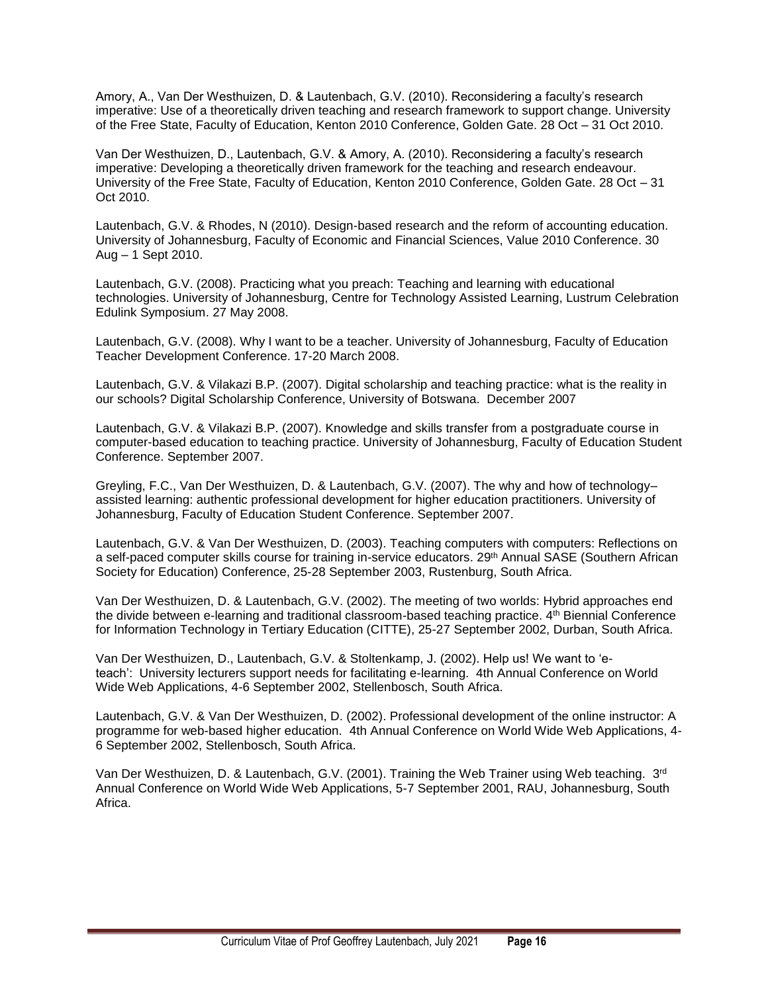Amory, A., Van Der Westhuizen, D. & Lautenbach, G.V. (2010). Reconsidering a faculty's research imperative: Use of a theoretically driven teaching and research framework to support change. University of the Free State, Faculty of Education, Kenton 2010 Conference, Golden Gate. 28 Oct – 31 Oct 2010.

Van Der Westhuizen, D., Lautenbach, G.V. & Amory, A. (2010). Reconsidering a faculty's research imperative: Developing a theoretically driven framework for the teaching and research endeavour. University of the Free State, Faculty of Education, Kenton 2010 Conference, Golden Gate. 28 Oct – 31 Oct 2010.

Lautenbach, G.V. & Rhodes, N (2010). Design-based research and the reform of accounting education. University of Johannesburg, Faculty of Economic and Financial Sciences, Value 2010 Conference. 30 Aug – 1 Sept 2010.

Lautenbach, G.V. (2008). Practicing what you preach: Teaching and learning with educational technologies. University of Johannesburg, Centre for Technology Assisted Learning, Lustrum Celebration Edulink Symposium. 27 May 2008.

Lautenbach, G.V. (2008). Why I want to be a teacher. University of Johannesburg, Faculty of Education Teacher Development Conference. 17-20 March 2008.

Lautenbach, G.V. & Vilakazi B.P. (2007). Digital scholarship and teaching practice: what is the reality in our schools? Digital Scholarship Conference, University of Botswana. December 2007

Lautenbach, G.V. & Vilakazi B.P. (2007). Knowledge and skills transfer from a postgraduate course in computer-based education to teaching practice. University of Johannesburg, Faculty of Education Student Conference. September 2007.

Greyling, F.C., Van Der Westhuizen, D. & Lautenbach, G.V. (2007). The why and how of technology– assisted learning: authentic professional development for higher education practitioners. University of Johannesburg, Faculty of Education Student Conference. September 2007.

Lautenbach, G.V. & Van Der Westhuizen, D. (2003). Teaching computers with computers: Reflections on a self-paced computer skills course for training in-service educators. 29<sup>th</sup> Annual SASE (Southern African Society for Education) Conference, 25-28 September 2003, Rustenburg, South Africa.

Van Der Westhuizen, D. & Lautenbach, G.V. (2002). The meeting of two worlds: Hybrid approaches end the divide between e-learning and traditional classroom-based teaching practice. 4th Biennial Conference for Information Technology in Tertiary Education (CITTE), 25-27 September 2002, Durban, South Africa.

Van Der Westhuizen, D., Lautenbach, G.V. & Stoltenkamp, J. (2002). Help us! We want to 'eteach': University lecturers support needs for facilitating e-learning. 4th Annual Conference on World Wide Web Applications, 4-6 September 2002, Stellenbosch, South Africa.

Lautenbach, G.V. & Van Der Westhuizen, D. (2002). Professional development of the online instructor: A programme for web-based higher education. 4th Annual Conference on World Wide Web Applications, 4- 6 September 2002, Stellenbosch, South Africa.

Van Der Westhuizen, D. & Lautenbach, G.V. (2001). Training the Web Trainer using Web teaching.  $3^{\text{rd}}$ Annual Conference on World Wide Web Applications, 5-7 September 2001, RAU, Johannesburg, South Africa.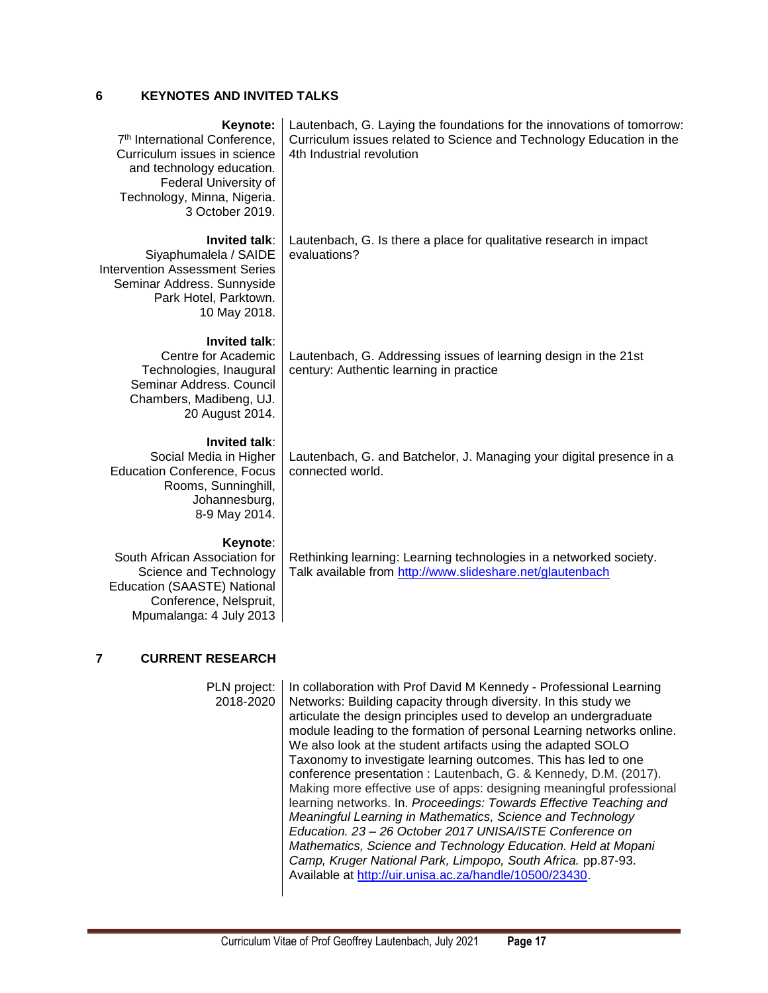### <span id="page-16-0"></span>**6 KEYNOTES AND INVITED TALKS**

#### **Keynote:**

7 th International Conference, Curriculum issues in science and technology education. Federal University of Technology, Minna, Nigeria. 3 October 2019.

**Invited talk**:

Siyaphumalela / SAIDE Intervention Assessment Series Seminar Address. Sunnyside Park Hotel, Parktown. 10 May 2018.

Lautenbach, G. Laying the foundations for the innovations of tomorrow: Curriculum issues related to Science and Technology Education in the 4th Industrial revolution

Lautenbach, G. Is there a place for qualitative research in impact evaluations?

#### **Invited talk**:

Centre for Academic Technologies, Inaugural Seminar Address. Council Chambers, Madibeng, UJ. 20 August 2014.

**Invited talk**:

Social Media in Higher Education Conference, Focus Rooms, Sunninghill, Johannesburg, 8-9 May 2014.

Lautenbach, G. Addressing issues of learning design in the 21st century: Authentic learning in practice

Lautenbach, G. and Batchelor, J. Managing your digital presence in a connected world.

#### **Keynote**:

South African Association for Science and Technology Education (SAASTE) National Conference, Nelspruit, Mpumalanga: 4 July 2013 Rethinking learning: Learning technologies in a networked society. Talk available from<http://www.slideshare.net/glautenbach>

### **7 CURRENT RESEARCH**

PLN project: 2018-2020

In collaboration with Prof David M Kennedy - Professional Learning Networks: Building capacity through diversity. In this study we articulate the design principles used to develop an undergraduate module leading to the formation of personal Learning networks online. We also look at the student artifacts using the adapted SOLO Taxonomy to investigate learning outcomes. This has led to one conference presentation : Lautenbach, G. & Kennedy, D.M. (2017). Making more effective use of apps: designing meaningful professional learning networks. In. *Proceedings: Towards Effective Teaching and Meaningful Learning in Mathematics, Science and Technology Education. 23 – 26 October 2017 UNISA/ISTE Conference on Mathematics, Science and Technology Education. Held at Mopani Camp, Kruger National Park, Limpopo, South Africa.* pp.87-93. Available at [http://uir.unisa.ac.za/handle/10500/23430.](http://uir.unisa.ac.za/handle/10500/23430)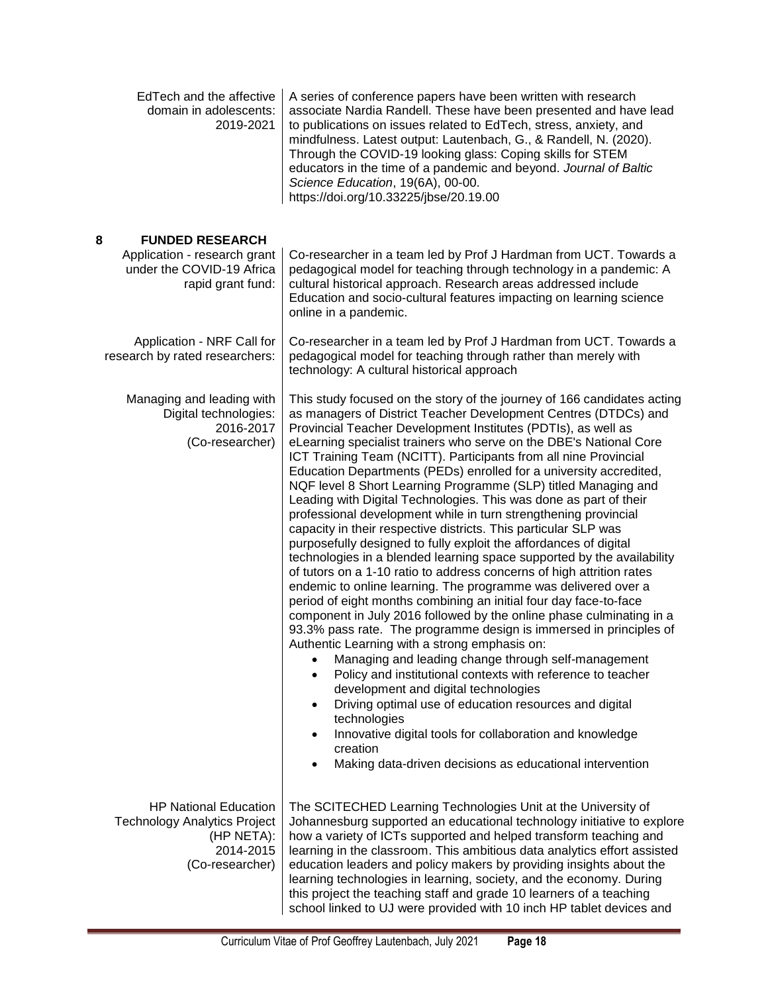<span id="page-17-0"></span>

| EdTech and the affective<br>domain in adolescents:<br>2019-2021                                                   | A series of conference papers have been written with research<br>associate Nardia Randell. These have been presented and have lead<br>to publications on issues related to EdTech, stress, anxiety, and<br>mindfulness. Latest output: Lautenbach, G., & Randell, N. (2020).<br>Through the COVID-19 looking glass: Coping skills for STEM<br>educators in the time of a pandemic and beyond. Journal of Baltic<br>Science Education, 19(6A), 00-00.<br>https://doi.org/10.33225/jbse/20.19.00                                                                                                                                                                                                                                                                                                                                                                                                                                                                                                                                                                                                                                                                                                                                                                                                                                                                                                                                                                                                                                                                                                                                                     |
|-------------------------------------------------------------------------------------------------------------------|----------------------------------------------------------------------------------------------------------------------------------------------------------------------------------------------------------------------------------------------------------------------------------------------------------------------------------------------------------------------------------------------------------------------------------------------------------------------------------------------------------------------------------------------------------------------------------------------------------------------------------------------------------------------------------------------------------------------------------------------------------------------------------------------------------------------------------------------------------------------------------------------------------------------------------------------------------------------------------------------------------------------------------------------------------------------------------------------------------------------------------------------------------------------------------------------------------------------------------------------------------------------------------------------------------------------------------------------------------------------------------------------------------------------------------------------------------------------------------------------------------------------------------------------------------------------------------------------------------------------------------------------------|
| 8<br><b>FUNDED RESEARCH</b><br>Application - research grant<br>under the COVID-19 Africa<br>rapid grant fund:     | Co-researcher in a team led by Prof J Hardman from UCT. Towards a<br>pedagogical model for teaching through technology in a pandemic: A<br>cultural historical approach. Research areas addressed include<br>Education and socio-cultural features impacting on learning science<br>online in a pandemic.                                                                                                                                                                                                                                                                                                                                                                                                                                                                                                                                                                                                                                                                                                                                                                                                                                                                                                                                                                                                                                                                                                                                                                                                                                                                                                                                          |
| Application - NRF Call for<br>research by rated researchers:                                                      | Co-researcher in a team led by Prof J Hardman from UCT. Towards a<br>pedagogical model for teaching through rather than merely with<br>technology: A cultural historical approach                                                                                                                                                                                                                                                                                                                                                                                                                                                                                                                                                                                                                                                                                                                                                                                                                                                                                                                                                                                                                                                                                                                                                                                                                                                                                                                                                                                                                                                                  |
| Managing and leading with<br>Digital technologies:<br>2016-2017<br>(Co-researcher)                                | This study focused on the story of the journey of 166 candidates acting<br>as managers of District Teacher Development Centres (DTDCs) and<br>Provincial Teacher Development Institutes (PDTIs), as well as<br>eLearning specialist trainers who serve on the DBE's National Core<br>ICT Training Team (NCITT). Participants from all nine Provincial<br>Education Departments (PEDs) enrolled for a university accredited,<br>NQF level 8 Short Learning Programme (SLP) titled Managing and<br>Leading with Digital Technologies. This was done as part of their<br>professional development while in turn strengthening provincial<br>capacity in their respective districts. This particular SLP was<br>purposefully designed to fully exploit the affordances of digital<br>technologies in a blended learning space supported by the availability<br>of tutors on a 1-10 ratio to address concerns of high attrition rates<br>endemic to online learning. The programme was delivered over a<br>period of eight months combining an initial four day face-to-face<br>component in July 2016 followed by the online phase culminating in a<br>93.3% pass rate. The programme design is immersed in principles of<br>Authentic Learning with a strong emphasis on:<br>Managing and leading change through self-management<br>Policy and institutional contexts with reference to teacher<br>development and digital technologies<br>Driving optimal use of education resources and digital<br>technologies<br>Innovative digital tools for collaboration and knowledge<br>creation<br>Making data-driven decisions as educational intervention |
| <b>HP National Education</b><br><b>Technology Analytics Project</b><br>(HP NETA):<br>2014-2015<br>(Co-researcher) | The SCITECHED Learning Technologies Unit at the University of<br>Johannesburg supported an educational technology initiative to explore<br>how a variety of ICTs supported and helped transform teaching and<br>learning in the classroom. This ambitious data analytics effort assisted<br>education leaders and policy makers by providing insights about the<br>learning technologies in learning, society, and the economy. During<br>this project the teaching staff and grade 10 learners of a teaching<br>school linked to UJ were provided with 10 inch HP tablet devices and                                                                                                                                                                                                                                                                                                                                                                                                                                                                                                                                                                                                                                                                                                                                                                                                                                                                                                                                                                                                                                                              |

<u> 1989 - Johann Barnett, mars et al. 1989 - Anna ann an t-</u>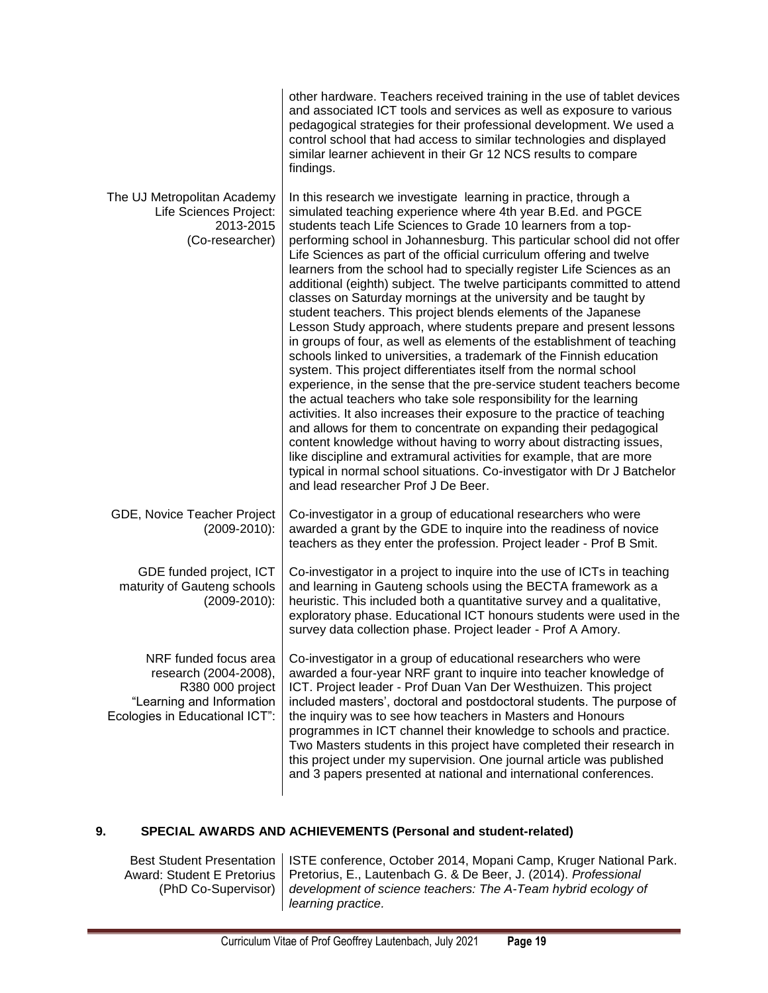|                                                                                                                                   | other hardware. Teachers received training in the use of tablet devices<br>and associated ICT tools and services as well as exposure to various<br>pedagogical strategies for their professional development. We used a<br>control school that had access to similar technologies and displayed<br>similar learner achievent in their Gr 12 NCS results to compare<br>findings.                                                                                                                                                                                                                                                                                                                                                                                                                                                                                                                                                                                                                                                                                                                                                                                                                                                                                                                                                                                                                                                                                                                             |
|-----------------------------------------------------------------------------------------------------------------------------------|-------------------------------------------------------------------------------------------------------------------------------------------------------------------------------------------------------------------------------------------------------------------------------------------------------------------------------------------------------------------------------------------------------------------------------------------------------------------------------------------------------------------------------------------------------------------------------------------------------------------------------------------------------------------------------------------------------------------------------------------------------------------------------------------------------------------------------------------------------------------------------------------------------------------------------------------------------------------------------------------------------------------------------------------------------------------------------------------------------------------------------------------------------------------------------------------------------------------------------------------------------------------------------------------------------------------------------------------------------------------------------------------------------------------------------------------------------------------------------------------------------------|
| The UJ Metropolitan Academy<br>Life Sciences Project:<br>2013-2015<br>(Co-researcher)                                             | In this research we investigate learning in practice, through a<br>simulated teaching experience where 4th year B.Ed. and PGCE<br>students teach Life Sciences to Grade 10 learners from a top-<br>performing school in Johannesburg. This particular school did not offer<br>Life Sciences as part of the official curriculum offering and twelve<br>learners from the school had to specially register Life Sciences as an<br>additional (eighth) subject. The twelve participants committed to attend<br>classes on Saturday mornings at the university and be taught by<br>student teachers. This project blends elements of the Japanese<br>Lesson Study approach, where students prepare and present lessons<br>in groups of four, as well as elements of the establishment of teaching<br>schools linked to universities, a trademark of the Finnish education<br>system. This project differentiates itself from the normal school<br>experience, in the sense that the pre-service student teachers become<br>the actual teachers who take sole responsibility for the learning<br>activities. It also increases their exposure to the practice of teaching<br>and allows for them to concentrate on expanding their pedagogical<br>content knowledge without having to worry about distracting issues,<br>like discipline and extramural activities for example, that are more<br>typical in normal school situations. Co-investigator with Dr J Batchelor<br>and lead researcher Prof J De Beer. |
| GDE, Novice Teacher Project<br>$(2009 - 2010)$ :                                                                                  | Co-investigator in a group of educational researchers who were<br>awarded a grant by the GDE to inquire into the readiness of novice<br>teachers as they enter the profession. Project leader - Prof B Smit.                                                                                                                                                                                                                                                                                                                                                                                                                                                                                                                                                                                                                                                                                                                                                                                                                                                                                                                                                                                                                                                                                                                                                                                                                                                                                                |
| GDE funded project, ICT<br>maturity of Gauteng schools<br>$(2009 - 2010)$ :                                                       | Co-investigator in a project to inquire into the use of ICTs in teaching<br>and learning in Gauteng schools using the BECTA framework as a<br>heuristic. This included both a quantitative survey and a qualitative,<br>exploratory phase. Educational ICT honours students were used in the<br>survey data collection phase. Project leader - Prof A Amory.                                                                                                                                                                                                                                                                                                                                                                                                                                                                                                                                                                                                                                                                                                                                                                                                                                                                                                                                                                                                                                                                                                                                                |
| NRF funded focus area<br>research (2004-2008),<br>R380 000 project<br>"Learning and Information<br>Ecologies in Educational ICT": | Co-investigator in a group of educational researchers who were<br>awarded a four-year NRF grant to inquire into teacher knowledge of<br>ICT. Project leader - Prof Duan Van Der Westhuizen. This project<br>included masters', doctoral and postdoctoral students. The purpose of<br>the inquiry was to see how teachers in Masters and Honours<br>programmes in ICT channel their knowledge to schools and practice.<br>Two Masters students in this project have completed their research in<br>this project under my supervision. One journal article was published<br>and 3 papers presented at national and international conferences.                                                                                                                                                                                                                                                                                                                                                                                                                                                                                                                                                                                                                                                                                                                                                                                                                                                                 |

### <span id="page-18-0"></span>**9. SPECIAL AWARDS AND ACHIEVEMENTS (Personal and student-related)**

Best Student Presentation Award: Student E Pretorius (PhD Co-Supervisor)

ISTE conference, October 2014, Mopani Camp, Kruger National Park. Pretorius, E., Lautenbach G. & De Beer, J. (2014). *Professional development of science teachers: The A-Team hybrid ecology of learning practice.*

the control of the control of the control of the control of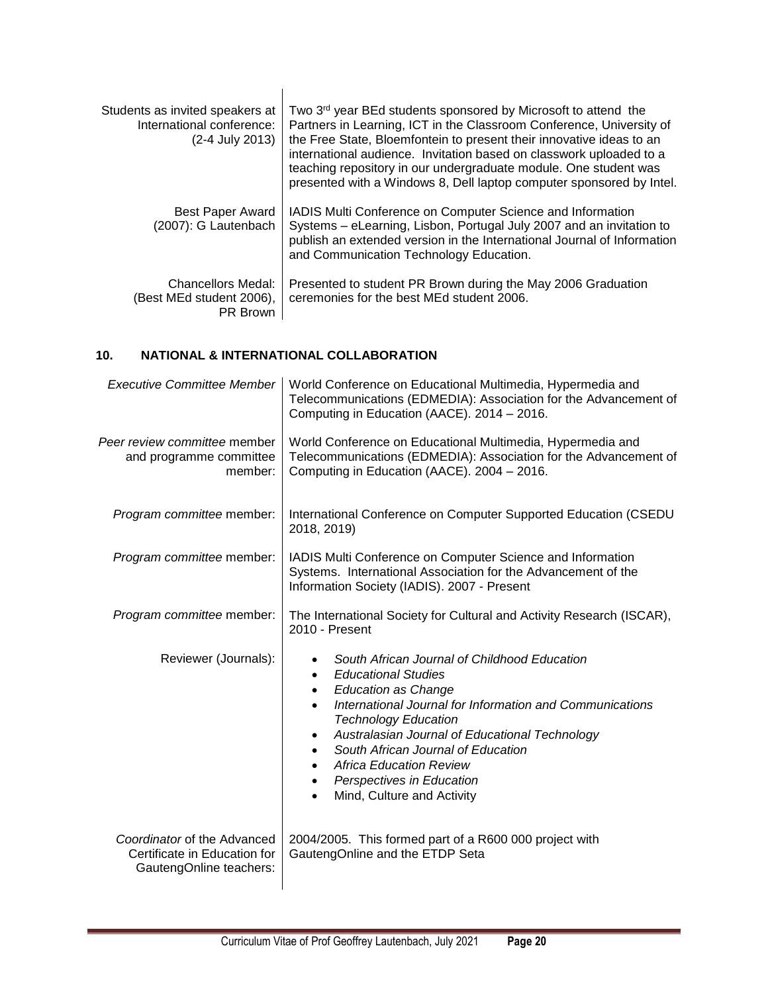| Students as invited speakers at<br>International conference:<br>(2-4 July 2013) | Two 3 <sup>rd</sup> year BEd students sponsored by Microsoft to attend the<br>Partners in Learning, ICT in the Classroom Conference, University of<br>the Free State, Bloemfontein to present their innovative ideas to an<br>international audience. Invitation based on classwork uploaded to a<br>teaching repository in our undergraduate module. One student was<br>presented with a Windows 8, Dell laptop computer sponsored by Intel. |
|---------------------------------------------------------------------------------|-----------------------------------------------------------------------------------------------------------------------------------------------------------------------------------------------------------------------------------------------------------------------------------------------------------------------------------------------------------------------------------------------------------------------------------------------|
| <b>Best Paper Award</b><br>(2007): G Lautenbach                                 | IADIS Multi Conference on Computer Science and Information<br>Systems - eLearning, Lisbon, Portugal July 2007 and an invitation to<br>publish an extended version in the International Journal of Information<br>and Communication Technology Education.                                                                                                                                                                                      |
| Chancellors Medal:<br>(Best MEd student 2006),<br>PR Brown                      | Presented to student PR Brown during the May 2006 Graduation<br>ceremonies for the best MEd student 2006.                                                                                                                                                                                                                                                                                                                                     |

### <span id="page-19-0"></span>**10. NATIONAL & INTERNATIONAL COLLABORATION**

| Executive Committee Member                                                             | World Conference on Educational Multimedia, Hypermedia and<br>Telecommunications (EDMEDIA): Association for the Advancement of<br>Computing in Education (AACE). 2014 - 2016.                                                                                                                                                                                                                                                                                  |
|----------------------------------------------------------------------------------------|----------------------------------------------------------------------------------------------------------------------------------------------------------------------------------------------------------------------------------------------------------------------------------------------------------------------------------------------------------------------------------------------------------------------------------------------------------------|
| Peer review committee member<br>and programme committee<br>member:                     | World Conference on Educational Multimedia, Hypermedia and<br>Telecommunications (EDMEDIA): Association for the Advancement of<br>Computing in Education (AACE). 2004 - 2016.                                                                                                                                                                                                                                                                                  |
| Program committee member:                                                              | International Conference on Computer Supported Education (CSEDU<br>2018, 2019)                                                                                                                                                                                                                                                                                                                                                                                 |
| Program committee member:                                                              | IADIS Multi Conference on Computer Science and Information<br>Systems. International Association for the Advancement of the<br>Information Society (IADIS). 2007 - Present                                                                                                                                                                                                                                                                                     |
| Program committee member:                                                              | The International Society for Cultural and Activity Research (ISCAR),<br>2010 - Present                                                                                                                                                                                                                                                                                                                                                                        |
| Reviewer (Journals):                                                                   | South African Journal of Childhood Education<br>$\bullet$<br><b>Educational Studies</b><br>$\bullet$<br><b>Education as Change</b><br>$\bullet$<br>International Journal for Information and Communications<br><b>Technology Education</b><br>Australasian Journal of Educational Technology<br>$\bullet$<br>South African Journal of Education<br>$\bullet$<br><b>Africa Education Review</b><br>Perspectives in Education<br>٠<br>Mind, Culture and Activity |
| Coordinator of the Advanced<br>Certificate in Education for<br>GautengOnline teachers: | 2004/2005. This formed part of a R600 000 project with<br>GautengOnline and the ETDP Seta                                                                                                                                                                                                                                                                                                                                                                      |

<u> 1989 - Johann Barn, mars an t-Amerikaansk kommunist (</u>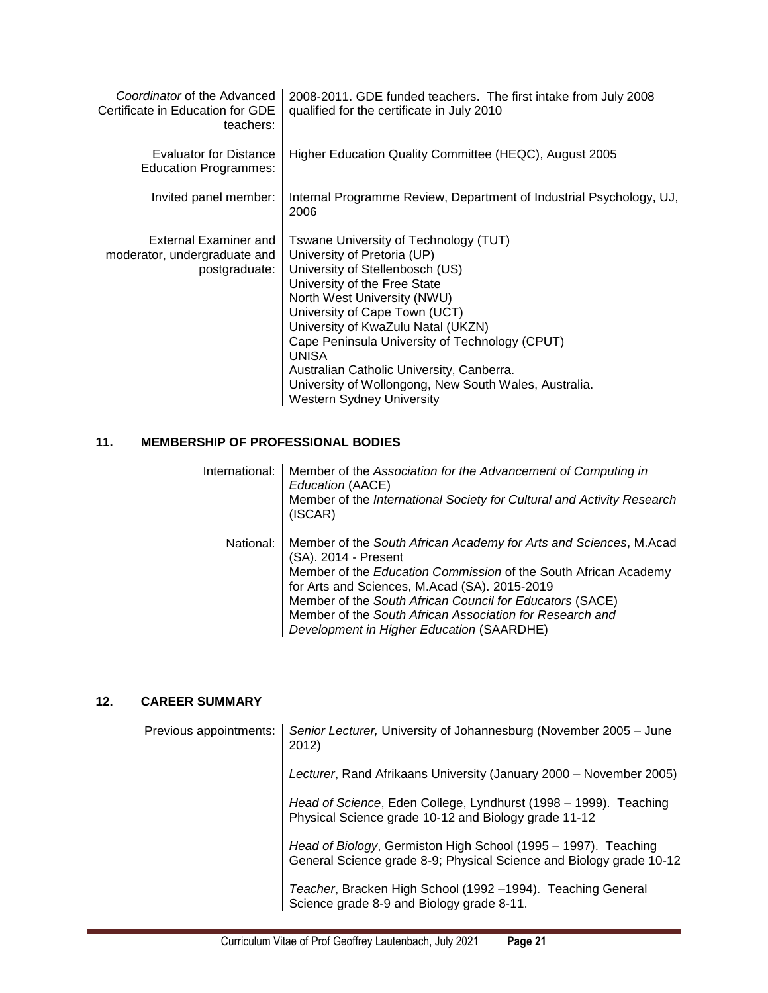| Coordinator of the Advanced<br>Certificate in Education for GDE<br>teachers: | 2008-2011. GDE funded teachers. The first intake from July 2008<br>qualified for the certificate in July 2010                                                                                                                                                                                                                                                                                                                                             |
|------------------------------------------------------------------------------|-----------------------------------------------------------------------------------------------------------------------------------------------------------------------------------------------------------------------------------------------------------------------------------------------------------------------------------------------------------------------------------------------------------------------------------------------------------|
| Evaluator for Distance<br><b>Education Programmes:</b>                       | Higher Education Quality Committee (HEQC), August 2005                                                                                                                                                                                                                                                                                                                                                                                                    |
| Invited panel member:                                                        | Internal Programme Review, Department of Industrial Psychology, UJ,<br>2006                                                                                                                                                                                                                                                                                                                                                                               |
| External Examiner and<br>moderator, undergraduate and<br>postgraduate:       | Tswane University of Technology (TUT)<br>University of Pretoria (UP)<br>University of Stellenbosch (US)<br>University of the Free State<br>North West University (NWU)<br>University of Cape Town (UCT)<br>University of KwaZulu Natal (UKZN)<br>Cape Peninsula University of Technology (CPUT)<br><b>UNISA</b><br>Australian Catholic University, Canberra.<br>University of Wollongong, New South Wales, Australia.<br><b>Western Sydney University</b> |

### <span id="page-20-0"></span>**11. MEMBERSHIP OF PROFESSIONAL BODIES**

| International: | Member of the Association for the Advancement of Computing in<br>Education (AACE)<br>Member of the International Society for Cultural and Activity Research<br>(ISCAR)                                                                                                                                                                                                             |
|----------------|------------------------------------------------------------------------------------------------------------------------------------------------------------------------------------------------------------------------------------------------------------------------------------------------------------------------------------------------------------------------------------|
| National:      | Member of the South African Academy for Arts and Sciences, M.Acad<br>(SA). 2014 - Present<br>Member of the Education Commission of the South African Academy<br>for Arts and Sciences, M.Acad (SA). 2015-2019<br>Member of the South African Council for Educators (SACE)<br>Member of the South African Association for Research and<br>Development in Higher Education (SAARDHE) |

## <span id="page-20-1"></span>**12. CAREER SUMMARY**

and the state of the state of the state of

| Previous appointments: | Senior Lecturer, University of Johannesburg (November 2005 - June<br>2012)                                                            |
|------------------------|---------------------------------------------------------------------------------------------------------------------------------------|
|                        | Lecturer, Rand Afrikaans University (January 2000 – November 2005)                                                                    |
|                        | Head of Science, Eden College, Lyndhurst (1998 – 1999). Teaching<br>Physical Science grade 10-12 and Biology grade 11-12              |
|                        | Head of Biology, Germiston High School (1995 - 1997). Teaching<br>General Science grade 8-9; Physical Science and Biology grade 10-12 |
|                        | Teacher, Bracken High School (1992–1994). Teaching General<br>Science grade 8-9 and Biology grade 8-11.                               |

<u> 1989 - Johann Barn, mars an t-Amerikaansk kommunister (</u>